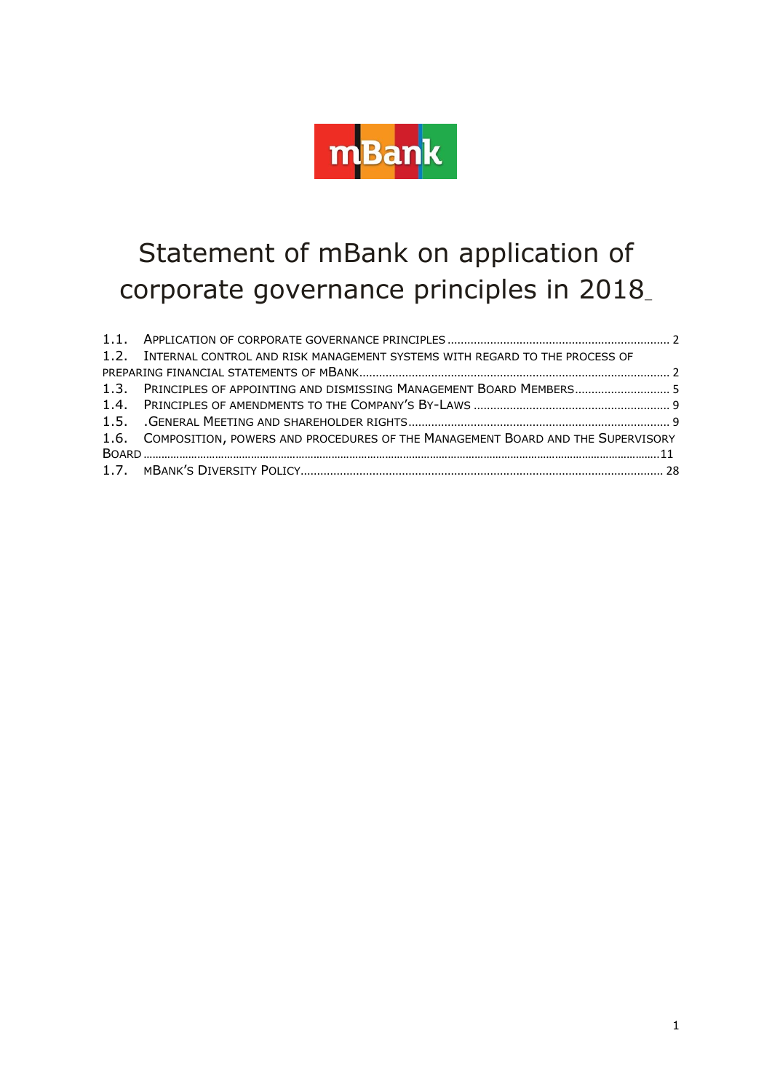<span id="page-0-0"></span>

# Statement of mBank on application of corporate governance principles in 2018[\\_](#page-0-0)

| 1.2. INTERNAL CONTROL AND RISK MANAGEMENT SYSTEMS WITH REGARD TO THE PROCESS OF     |  |
|-------------------------------------------------------------------------------------|--|
|                                                                                     |  |
| 1.3. PRINCIPLES OF APPOINTING AND DISMISSING MANAGEMENT BOARD MEMBERS 5             |  |
|                                                                                     |  |
|                                                                                     |  |
| 1.6. COMPOSITION, POWERS AND PROCEDURES OF THE MANAGEMENT BOARD AND THE SUPERVISORY |  |
|                                                                                     |  |
|                                                                                     |  |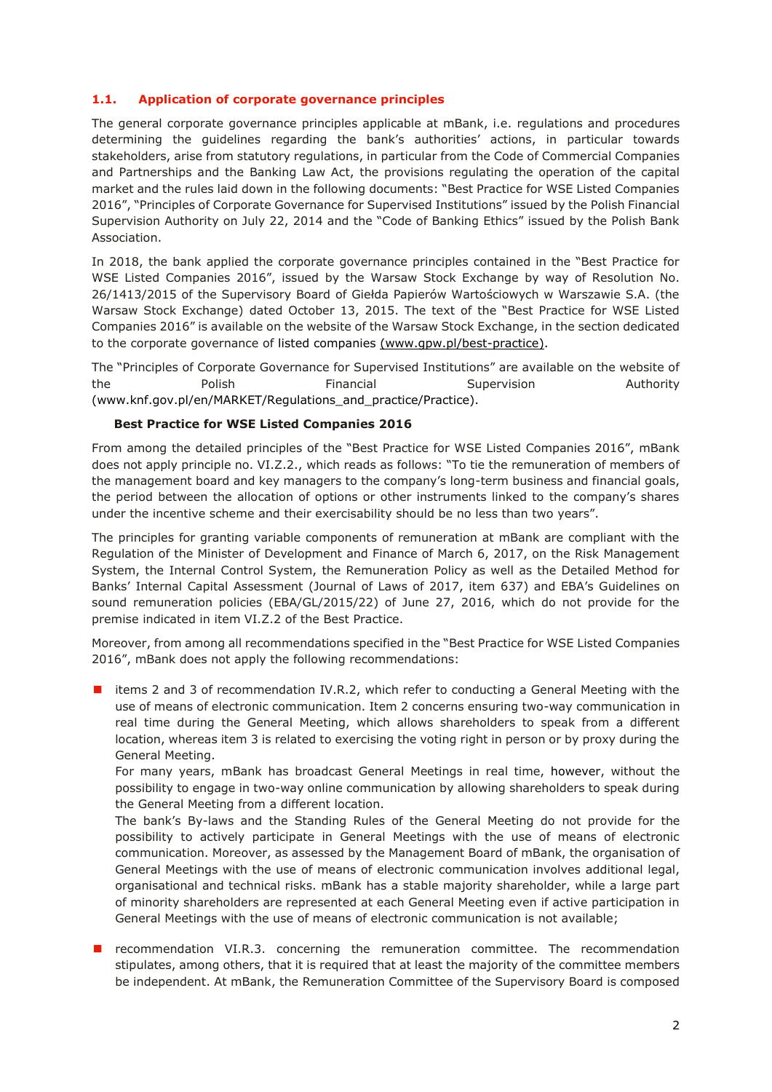# <span id="page-1-0"></span>**1.1. Application of corporate governance principles**

<span id="page-1-1"></span>The general corporate governance principles applicable at mBank, i.e. regulations and procedures determining the guidelines regarding the bank's authorities' actions, in particular towards stakeholders, arise from statutory regulations, in particular from the Code of Commercial Companies and Partnerships and the Banking Law Act, the provisions regulating the operation of the capital market and the rules laid down in the following documents: "Best Practice for WSE Listed Companies 2016", "Principles of Corporate Governance for Supervised Institutions" issued by the Polish Financial Supervision Authority on July 22, 2014 and the "Code of Banking Ethics" issued by the Polish Bank Association.

In 2018, the bank applied the corporate governance principles contained in the "Best Practice for WSE Listed Companies 2016", issued by the Warsaw Stock Exchange by way of Resolution No. 26/1413/2015 of the Supervisory Board of Giełda Papierów Wartościowych w Warszawie S.A. (the Warsaw Stock Exchange) dated October 13, 2015. The text of the "Best Practice for WSE Listed Companies 2016" is available on the website of the Warsaw Stock Exchange, in the section dedicated to the corporate governance of listed companies [\(www.gpw.pl/best-practice\)](http://(www.gpw.pl/best-practice).

The "Principles of Corporate Governance for Supervised Institutions" are available on the website of the **Polish Polish** Financial Supervision Authority (www.knf.gov.pl/en/MARKET/Regulations\_and\_practice/Practice).

# **Best Practice for WSE Listed Companies 2016**

From among the detailed principles of the "Best Practice for WSE Listed Companies 2016", mBank does not apply principle no. VI.Z.2., which reads as follows: "To tie the remuneration of members of the management board and key managers to the company's long-term business and financial goals, the period between the allocation of options or other instruments linked to the company's shares under the incentive scheme and their exercisability should be no less than two years".

The principles for granting variable components of remuneration at mBank are compliant with the Regulation of the Minister of Development and Finance of March 6, 2017, on the Risk Management System, the Internal Control System, the Remuneration Policy as well as the Detailed Method for Banks' Internal Capital Assessment (Journal of Laws of 2017, item 637) and EBA's Guidelines on sound remuneration policies (EBA/GL/2015/22) of June 27, 2016, which do not provide for the premise indicated in item VI.Z.2 of the Best Practice.

Moreover, from among all recommendations specified in the "Best Practice for WSE Listed Companies 2016", mBank does not apply the following recommendations:

 $\blacksquare$  items 2 and 3 of recommendation IV.R.2, which refer to conducting a General Meeting with the use of means of electronic communication. Item 2 concerns ensuring two-way communication in real time during the General Meeting, which allows shareholders to speak from a different location, whereas item 3 is related to exercising the voting right in person or by proxy during the General Meeting.

For many years, mBank has broadcast General Meetings in real time, however, without the possibility to engage in two-way online communication by allowing shareholders to speak during the General Meeting from a different location.

The bank's By-laws and the Standing Rules of the General Meeting do not provide for the possibility to actively participate in General Meetings with the use of means of electronic communication. Moreover, as assessed by the Management Board of mBank, the organisation of General Meetings with the use of means of electronic communication involves additional legal, organisational and technical risks. mBank has a stable majority shareholder, while a large part of minority shareholders are represented at each General Meeting even if active participation in General Meetings with the use of means of electronic communication is not available;

**E** recommendation VI.R.3. concerning the remuneration committee. The recommendation stipulates, among others, that it is required that at least the majority of the committee members be independent. At mBank, the Remuneration Committee of the Supervisory Board is composed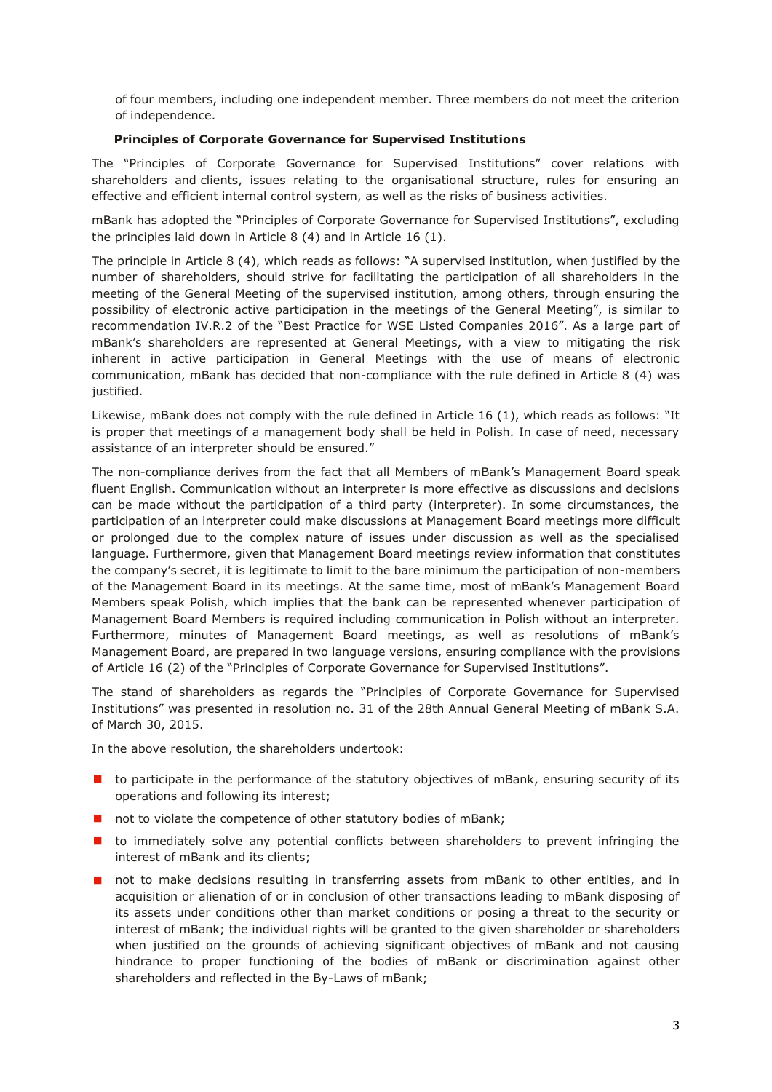of four members, including one independent member. Three members do not meet the criterion of independence.

# **Principles of Corporate Governance for Supervised Institutions**

The "Principles of Corporate Governance for Supervised Institutions" cover relations with shareholders and clients, issues relating to the organisational structure, rules for ensuring an effective and efficient internal control system, as well as the risks of business activities.

mBank has adopted the "Principles of Corporate Governance for Supervised Institutions", excluding the principles laid down in Article 8 (4) and in Article 16 (1).

The principle in Article 8 (4), which reads as follows: "A supervised institution, when justified by the number of shareholders, should strive for facilitating the participation of all shareholders in the meeting of the General Meeting of the supervised institution, among others, through ensuring the possibility of electronic active participation in the meetings of the General Meeting", is similar to recommendation IV.R.2 of the "Best Practice for WSE Listed Companies 2016". As a large part of mBank's shareholders are represented at General Meetings, with a view to mitigating the risk inherent in active participation in General Meetings with the use of means of electronic communication, mBank has decided that non-compliance with the rule defined in Article 8 (4) was justified.

Likewise, mBank does not comply with the rule defined in Article 16 (1), which reads as follows: "It is proper that meetings of a management body shall be held in Polish. In case of need, necessary assistance of an interpreter should be ensured."

The non-compliance derives from the fact that all Members of mBank's Management Board speak fluent English. Communication without an interpreter is more effective as discussions and decisions can be made without the participation of a third party (interpreter). In some circumstances, the participation of an interpreter could make discussions at Management Board meetings more difficult or prolonged due to the complex nature of issues under discussion as well as the specialised language. Furthermore, given that Management Board meetings review information that constitutes the company's secret, it is legitimate to limit to the bare minimum the participation of non-members of the Management Board in its meetings. At the same time, most of mBank's Management Board Members speak Polish, which implies that the bank can be represented whenever participation of Management Board Members is required including communication in Polish without an interpreter. Furthermore, minutes of Management Board meetings, as well as resolutions of mBank's Management Board, are prepared in two language versions, ensuring compliance with the provisions of Article 16 (2) of the "Principles of Corporate Governance for Supervised Institutions".

The stand of shareholders as regards the "Principles of Corporate Governance for Supervised Institutions" was presented in resolution no. 31 of the 28th Annual General Meeting of mBank S.A. of March 30, 2015.

In the above resolution, the shareholders undertook:

- **I** to participate in the performance of the statutory objectives of mBank, ensuring security of its operations and following its interest;
- not to violate the competence of other statutory bodies of mBank;
- **t** to immediately solve any potential conflicts between shareholders to prevent infringing the interest of mBank and its clients;
- **n** not to make decisions resulting in transferring assets from mBank to other entities, and in acquisition or alienation of or in conclusion of other transactions leading to mBank disposing of its assets under conditions other than market conditions or posing a threat to the security or interest of mBank; the individual rights will be granted to the given shareholder or shareholders when justified on the grounds of achieving significant objectives of mBank and not causing hindrance to proper functioning of the bodies of mBank or discrimination against other shareholders and reflected in the By-Laws of mBank;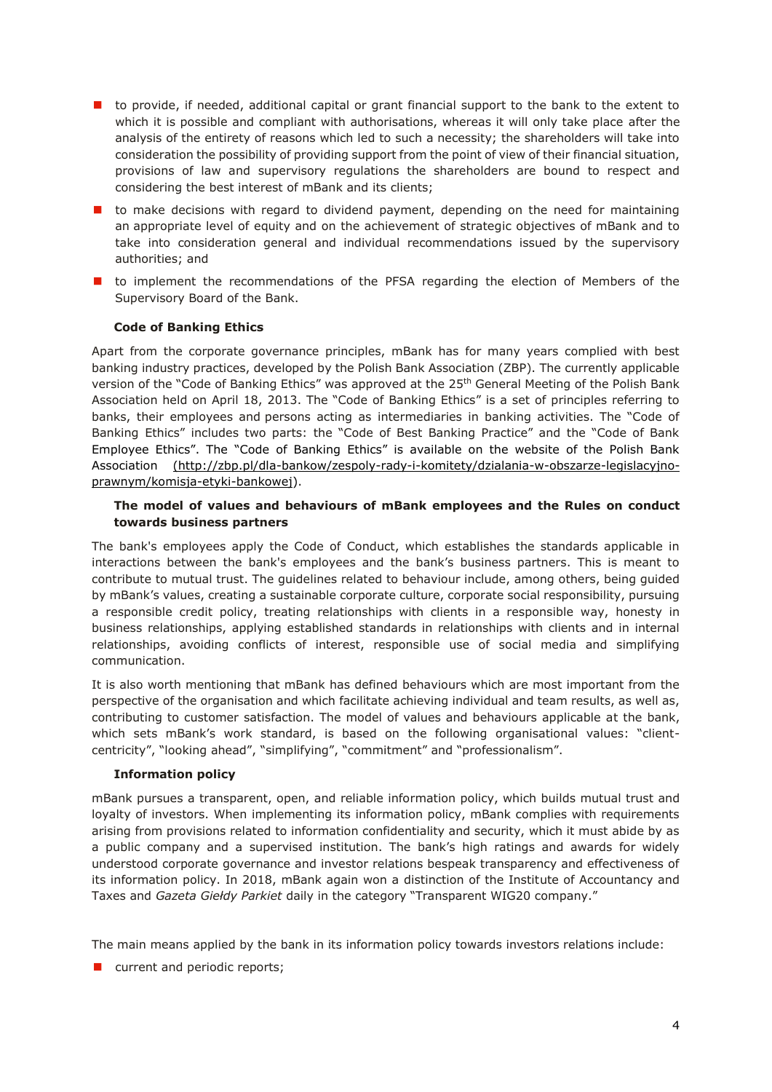- **th** to provide, if needed, additional capital or grant financial support to the bank to the extent to which it is possible and compliant with authorisations, whereas it will only take place after the analysis of the entirety of reasons which led to such a necessity; the shareholders will take into consideration the possibility of providing support from the point of view of their financial situation, provisions of law and supervisory regulations the shareholders are bound to respect and considering the best interest of mBank and its clients;
- $\blacksquare$  to make decisions with regard to dividend payment, depending on the need for maintaining an appropriate level of equity and on the achievement of strategic objectives of mBank and to take into consideration general and individual recommendations issued by the supervisory authorities; and
- **I** to implement the recommendations of the PFSA regarding the election of Members of the Supervisory Board of the Bank.

# **Code of Banking Ethics**

Apart from the corporate governance principles, mBank has for many years complied with best banking industry practices, developed by the Polish Bank Association (ZBP). The currently applicable version of the "Code of Banking Ethics" was approved at the 25<sup>th</sup> General Meeting of the Polish Bank Association held on April 18, 2013. The "Code of Banking Ethics" is a set of principles referring to banks, their employees and persons acting as intermediaries in banking activities. The "Code of Banking Ethics" includes two parts: the "Code of Best Banking Practice" and the "Code of Bank Employee Ethics". The "Code of Banking Ethics" is available on the website of the Polish Bank Association [\(http://zbp.pl/dla-bankow/zespoly-rady-i-komitety/dzialania-w-obszarze-legislacyjno](http://zbp.pl/dla-bankow/zespoly-rady-i-komitety/dzialania-w-obszarze-legislacyjno-prawnym/komisja-etyki-bankowej)[prawnym/komisja-etyki-bankowej\)](http://zbp.pl/dla-bankow/zespoly-rady-i-komitety/dzialania-w-obszarze-legislacyjno-prawnym/komisja-etyki-bankowej).

# **The model of values and behaviours of mBank employees and the Rules on conduct towards business partners**

The bank's employees apply the Code of Conduct, which establishes the standards applicable in interactions between the bank's employees and the bank's business partners. This is meant to contribute to mutual trust. The guidelines related to behaviour include, among others, being guided by mBank's values, creating a sustainable corporate culture, corporate social responsibility, pursuing a responsible credit policy, treating relationships with clients in a responsible way, honesty in business relationships, applying established standards in relationships with clients and in internal relationships, avoiding conflicts of interest, responsible use of social media and simplifying communication.

It is also worth mentioning that mBank has defined behaviours which are most important from the perspective of the organisation and which facilitate achieving individual and team results, as well as, contributing to customer satisfaction. The model of values and behaviours applicable at the bank, which sets mBank's work standard, is based on the following organisational values: "clientcentricity", "looking ahead", "simplifying", "commitment" and "professionalism".

# **Information policy**

mBank pursues a transparent, open, and reliable information policy, which builds mutual trust and loyalty of investors. When implementing its information policy, mBank complies with requirements arising from provisions related to information confidentiality and security, which it must abide by as a public company and a supervised institution. The bank's high ratings and awards for widely understood corporate governance and investor relations bespeak transparency and effectiveness of its information policy. In 2018, mBank again won a distinction of the Institute of Accountancy and Taxes and *Gazeta Giełdy Parkiet* daily in the category "Transparent WIG20 company."

The main means applied by the bank in its information policy towards investors relations include:

**u** current and periodic reports;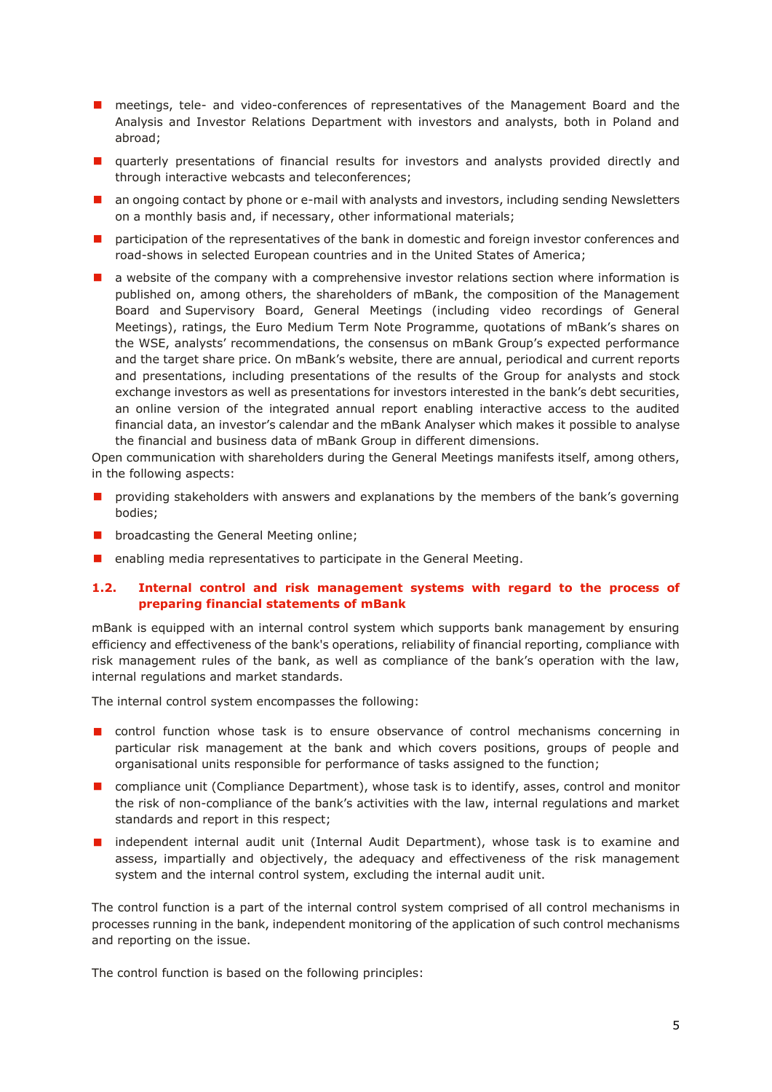- **n** meetings, tele- and video-conferences of representatives of the Management Board and the Analysis and Investor Relations Department with investors and analysts, both in Poland and abroad;
- **I** quarterly presentations of financial results for investors and analysts provided directly and through interactive webcasts and teleconferences;
- an ongoing contact by phone or e-mail with analysts and investors, including sending Newsletters on a monthly basis and, if necessary, other informational materials;
- **n** participation of the representatives of the bank in domestic and foreign investor conferences and road-shows in selected European countries and in the United States of America;
- $\blacksquare$  a website of the company with a comprehensive investor relations section where information is published on, among others, the shareholders of mBank, the composition of the Management Board and Supervisory Board, General Meetings (including video recordings of General Meetings), ratings, the Euro Medium Term Note Programme, quotations of mBank's shares on the WSE, analysts' recommendations, the consensus on mBank Group's expected performance and the target share price. On mBank's website, there are annual, periodical and current reports and presentations, including presentations of the results of the Group for analysts and stock exchange investors as well as presentations for investors interested in the bank's debt securities, an online version of the integrated annual report enabling interactive access to the audited financial data, an investor's calendar and the mBank Analyser which makes it possible to analyse the financial and business data of mBank Group in different dimensions.

Open communication with shareholders during the General Meetings manifests itself, among others, in the following aspects:

- providing stakeholders with answers and explanations by the members of the bank's governing bodies;
- **D** broadcasting the General Meeting online;
- **E** enabling media representatives to participate in the General Meeting.

# **1.2. Internal control and risk management systems with regard to the process of preparing financial statements of mBank**

<span id="page-4-0"></span>mBank is equipped with an internal control system which supports bank management by ensuring efficiency and effectiveness of the bank's operations, reliability of financial reporting, compliance with risk management rules of the bank, as well as compliance of the bank's operation with the law, internal regulations and market standards.

The internal control system encompasses the following:

- **D** control function whose task is to ensure observance of control mechanisms concerning in particular risk management at the bank and which covers positions, groups of people and organisational units responsible for performance of tasks assigned to the function;
- **n** compliance unit (Compliance Department), whose task is to identify, asses, control and monitor the risk of non-compliance of the bank's activities with the law, internal regulations and market standards and report in this respect;
- **I** independent internal audit unit (Internal Audit Department), whose task is to examine and assess, impartially and objectively, the adequacy and effectiveness of the risk management system and the internal control system, excluding the internal audit unit.

The control function is a part of the internal control system comprised of all control mechanisms in processes running in the bank, independent monitoring of the application of such control mechanisms and reporting on the issue.

The control function is based on the following principles: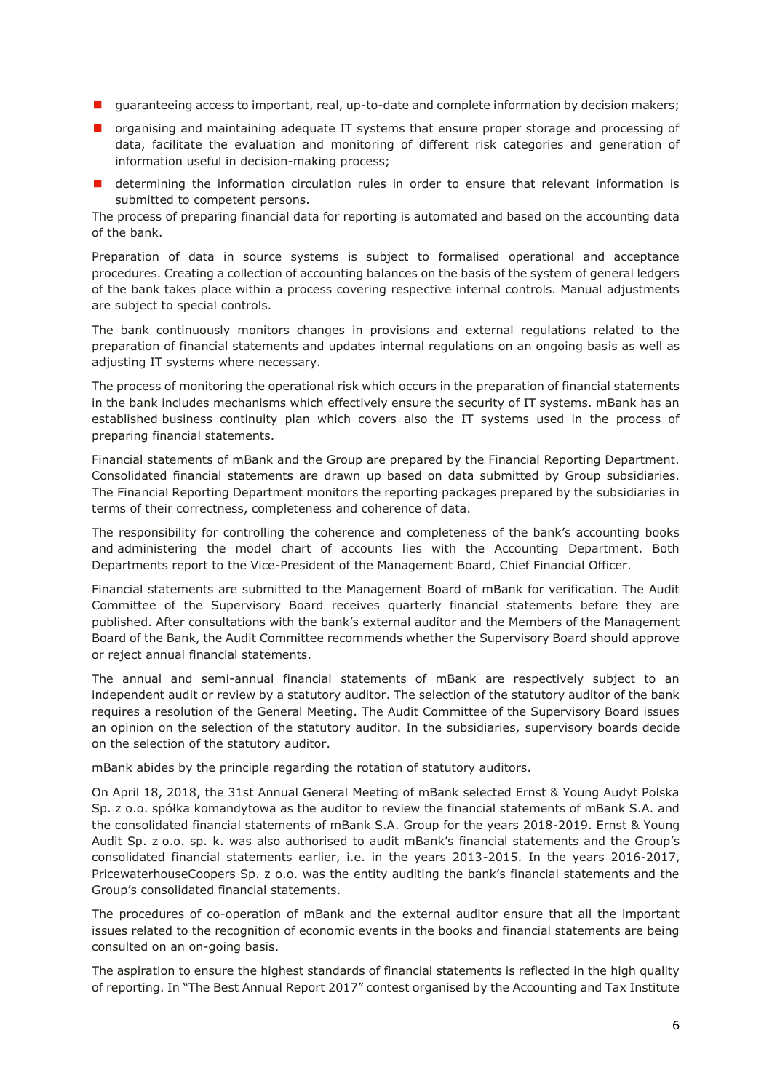- **I** guaranteeing access to important, real, up-to-date and complete information by decision makers;
- $\blacksquare$  organising and maintaining adequate IT systems that ensure proper storage and processing of data, facilitate the evaluation and monitoring of different risk categories and generation of information useful in decision-making process;
- **E** determining the information circulation rules in order to ensure that relevant information is submitted to competent persons.

The process of preparing financial data for reporting is automated and based on the accounting data of the bank.

Preparation of data in source systems is subject to formalised operational and acceptance procedures. Creating a collection of accounting balances on the basis of the system of general ledgers of the bank takes place within a process covering respective internal controls. Manual adjustments are subject to special controls.

The bank continuously monitors changes in provisions and external regulations related to the preparation of financial statements and updates internal regulations on an ongoing basis as well as adjusting IT systems where necessary.

The process of monitoring the operational risk which occurs in the preparation of financial statements in the bank includes mechanisms which effectively ensure the security of IT systems. mBank has an established business continuity plan which covers also the IT systems used in the process of preparing financial statements.

Financial statements of mBank and the Group are prepared by the Financial Reporting Department. Consolidated financial statements are drawn up based on data submitted by Group subsidiaries. The Financial Reporting Department monitors the reporting packages prepared by the subsidiaries in terms of their correctness, completeness and coherence of data.

The responsibility for controlling the coherence and completeness of the bank's accounting books and administering the model chart of accounts lies with the Accounting Department. Both Departments report to the Vice-President of the Management Board, Chief Financial Officer.

Financial statements are submitted to the Management Board of mBank for verification. The Audit Committee of the Supervisory Board receives quarterly financial statements before they are published. After consultations with the bank's external auditor and the Members of the Management Board of the Bank, the Audit Committee recommends whether the Supervisory Board should approve or reject annual financial statements.

The annual and semi-annual financial statements of mBank are respectively subject to an independent audit or review by a statutory auditor. The selection of the statutory auditor of the bank requires a resolution of the General Meeting. The Audit Committee of the Supervisory Board issues an opinion on the selection of the statutory auditor. In the subsidiaries, supervisory boards decide on the selection of the statutory auditor.

mBank abides by the principle regarding the rotation of statutory auditors.

On April 18, 2018, the 31st Annual General Meeting of mBank selected Ernst & Young Audyt Polska Sp. z o.o. spółka komandytowa as the auditor to review the financial statements of mBank S.A. and the consolidated financial statements of mBank S.A. Group for the years 2018-2019. Ernst & Young Audit Sp. z o.o. sp. k. was also authorised to audit mBank's financial statements and the Group's consolidated financial statements earlier, i.e. in the years 2013-2015. In the years 2016-2017, PricewaterhouseCoopers Sp. z o.o. was the entity auditing the bank's financial statements and the Group's consolidated financial statements.

The procedures of co-operation of mBank and the external auditor ensure that all the important issues related to the recognition of economic events in the books and financial statements are being consulted on an on-going basis.

The aspiration to ensure the highest standards of financial statements is reflected in the high quality of reporting. In "The Best Annual Report 2017" contest organised by the Accounting and Tax Institute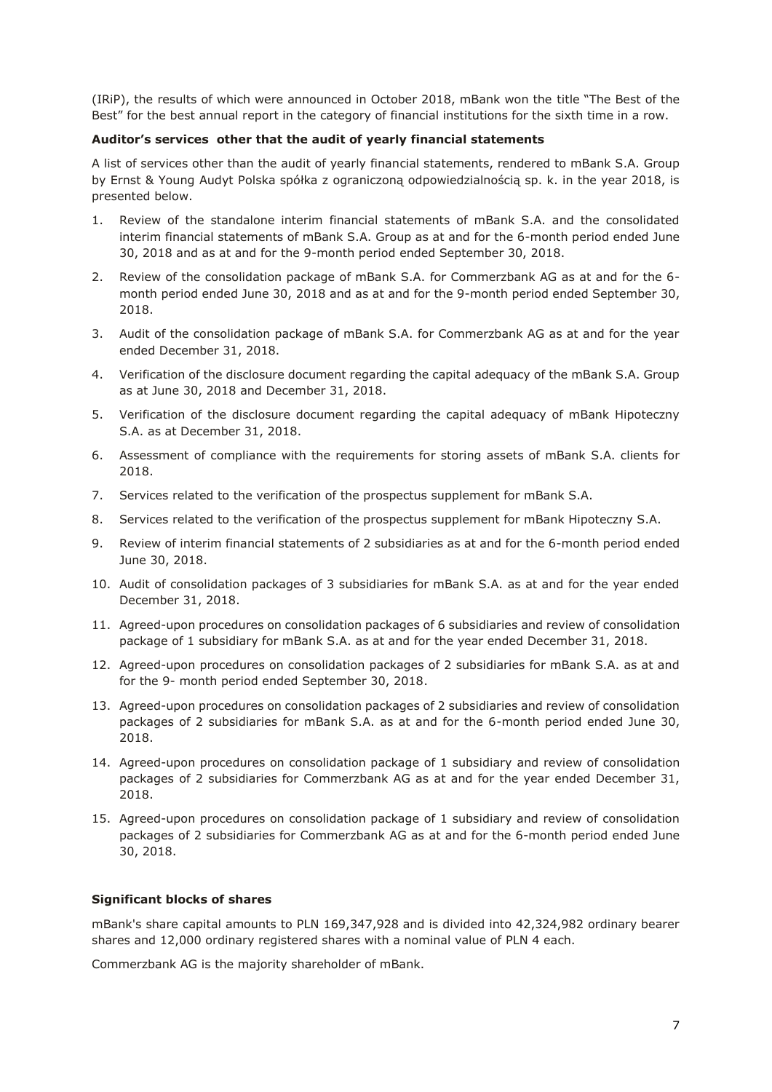(IRiP), the results of which were announced in October 2018, mBank won the title "The Best of the Best" for the best annual report in the category of financial institutions for the sixth time in a row.

## **Auditor's services other that the audit of yearly financial statements**

A list of services other than the audit of yearly financial statements, rendered to mBank S.A. Group by Ernst & Young Audyt Polska spółka z ograniczoną odpowiedzialnością sp. k. in the year 2018, is presented below.

- 1. Review of the standalone interim financial statements of mBank S.A. and the consolidated interim financial statements of mBank S.A. Group as at and for the 6-month period ended June 30, 2018 and as at and for the 9-month period ended September 30, 2018.
- 2. Review of the consolidation package of mBank S.A. for Commerzbank AG as at and for the 6 month period ended June 30, 2018 and as at and for the 9-month period ended September 30, 2018.
- 3. Audit of the consolidation package of mBank S.A. for Commerzbank AG as at and for the year ended December 31, 2018.
- 4. Verification of the disclosure document regarding the capital adequacy of the mBank S.A. Group as at June 30, 2018 and December 31, 2018.
- 5. Verification of the disclosure document regarding the capital adequacy of mBank Hipoteczny S.A. as at December 31, 2018.
- 6. Assessment of compliance with the requirements for storing assets of mBank S.A. clients for 2018.
- 7. Services related to the verification of the prospectus supplement for mBank S.A.
- 8. Services related to the verification of the prospectus supplement for mBank Hipoteczny S.A.
- 9. Review of interim financial statements of 2 subsidiaries as at and for the 6-month period ended June 30, 2018.
- 10. Audit of consolidation packages of 3 subsidiaries for mBank S.A. as at and for the year ended December 31, 2018.
- 11. Agreed-upon procedures on consolidation packages of 6 subsidiaries and review of consolidation package of 1 subsidiary for mBank S.A. as at and for the year ended December 31, 2018.
- 12. Agreed-upon procedures on consolidation packages of 2 subsidiaries for mBank S.A. as at and for the 9- month period ended September 30, 2018.
- 13. Agreed-upon procedures on consolidation packages of 2 subsidiaries and review of consolidation packages of 2 subsidiaries for mBank S.A. as at and for the 6-month period ended June 30, 2018.
- 14. Agreed-upon procedures on consolidation package of 1 subsidiary and review of consolidation packages of 2 subsidiaries for Commerzbank AG as at and for the year ended December 31, 2018.
- 15. Agreed-upon procedures on consolidation package of 1 subsidiary and review of consolidation packages of 2 subsidiaries for Commerzbank AG as at and for the 6-month period ended June 30, 2018.

#### **Significant blocks of shares**

mBank's share capital amounts to PLN 169,347,928 and is divided into 42,324,982 ordinary bearer shares and 12,000 ordinary registered shares with a nominal value of PLN 4 each.

Commerzbank AG is the majority shareholder of mBank.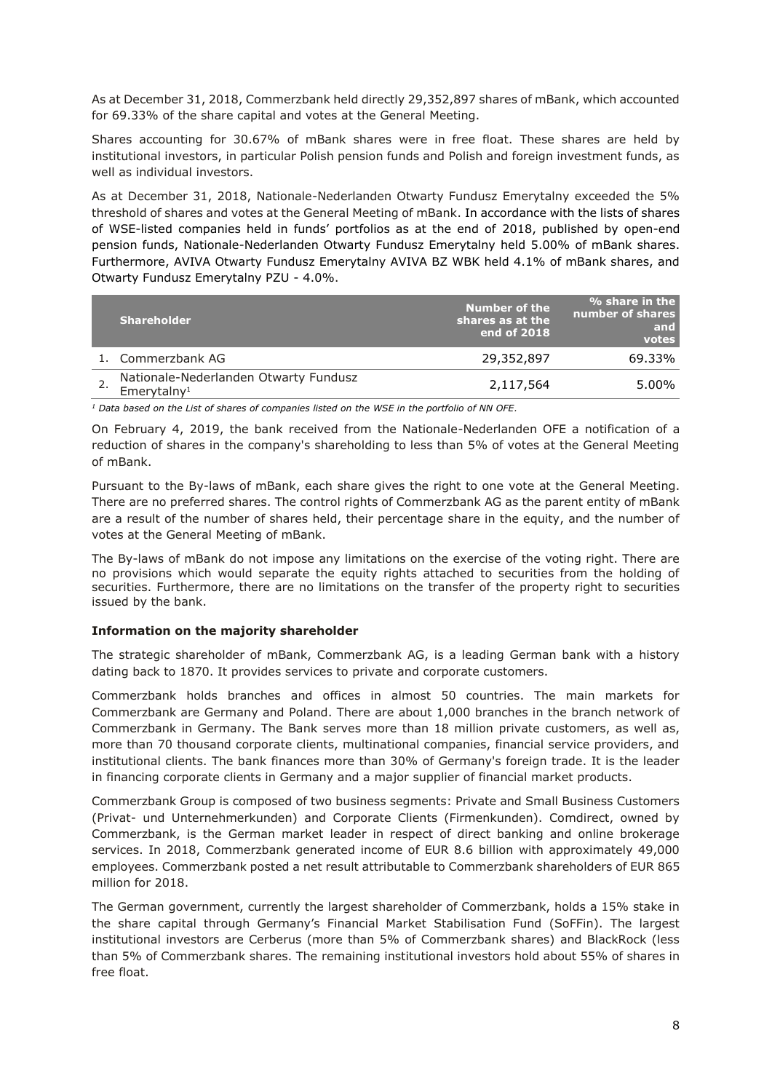As at December 31, 2018, Commerzbank held directly 29,352,897 shares of mBank, which accounted for 69.33% of the share capital and votes at the General Meeting.

Shares accounting for 30.67% of mBank shares were in free float. These shares are held by institutional investors, in particular Polish pension funds and Polish and foreign investment funds, as well as individual investors.

As at December 31, 2018, Nationale-Nederlanden Otwarty Fundusz Emerytalny exceeded the 5% threshold of shares and votes at the General Meeting of mBank. In accordance with the lists of shares of WSE-listed companies held in funds' portfolios as at the end of 2018, published by open-end pension funds, Nationale-Nederlanden Otwarty Fundusz Emerytalny held 5.00% of mBank shares. Furthermore, AVIVA Otwarty Fundusz Emerytalny AVIVA BZ WBK held 4.1% of mBank shares, and Otwarty Fundusz Emerytalny PZU - 4.0%.

| <b>Shareholder</b>                                               | <b>Number of the</b><br>shares as at the<br>end of 2018 | $%$ share in the<br>number of shares<br>and<br>votes |
|------------------------------------------------------------------|---------------------------------------------------------|------------------------------------------------------|
| 1. Commerzbank AG                                                | 29,352,897                                              | 69.33%                                               |
| Nationale-Nederlanden Otwarty Fundusz<br>Emerytalny <sup>1</sup> | 2,117,564                                               | 5.00%                                                |

*<sup>1</sup> Data based on the List of shares of companies listed on the WSE in the portfolio of NN OFE.*

On February 4, 2019, the bank received from the Nationale-Nederlanden OFE a notification of a reduction of shares in the company's shareholding to less than 5% of votes at the General Meeting of mBank.

Pursuant to the By-laws of mBank, each share gives the right to one vote at the General Meeting. There are no preferred shares. The control rights of Commerzbank AG as the parent entity of mBank are a result of the number of shares held, their percentage share in the equity, and the number of votes at the General Meeting of mBank.

The By-laws of mBank do not impose any limitations on the exercise of the voting right. There are no provisions which would separate the equity rights attached to securities from the holding of securities. Furthermore, there are no limitations on the transfer of the property right to securities issued by the bank.

#### **Information on the majority shareholder**

The strategic shareholder of mBank, Commerzbank AG, is a leading German bank with a history dating back to 1870. It provides services to private and corporate customers.

Commerzbank holds branches and offices in almost 50 countries. The main markets for Commerzbank are Germany and Poland. There are about 1,000 branches in the branch network of Commerzbank in Germany. The Bank serves more than 18 million private customers, as well as, more than 70 thousand corporate clients, multinational companies, financial service providers, and institutional clients. The bank finances more than 30% of Germany's foreign trade. It is the leader in financing corporate clients in Germany and a major supplier of financial market products.

Commerzbank Group is composed of two business segments: Private and Small Business Customers (Privat- und Unternehmerkunden) and Corporate Clients (Firmenkunden). Comdirect, owned by Commerzbank, is the German market leader in respect of direct banking and online brokerage services. In 2018, Commerzbank generated income of EUR 8.6 billion with approximately 49,000 employees. Commerzbank posted a net result attributable to Commerzbank shareholders of EUR 865 million for 2018.

The German government, currently the largest shareholder of Commerzbank, holds a 15% stake in the share capital through Germany's Financial Market Stabilisation Fund (SoFFin). The largest institutional investors are Cerberus (more than 5% of Commerzbank shares) and BlackRock (less than 5% of Commerzbank shares. The remaining institutional investors hold about 55% of shares in free float.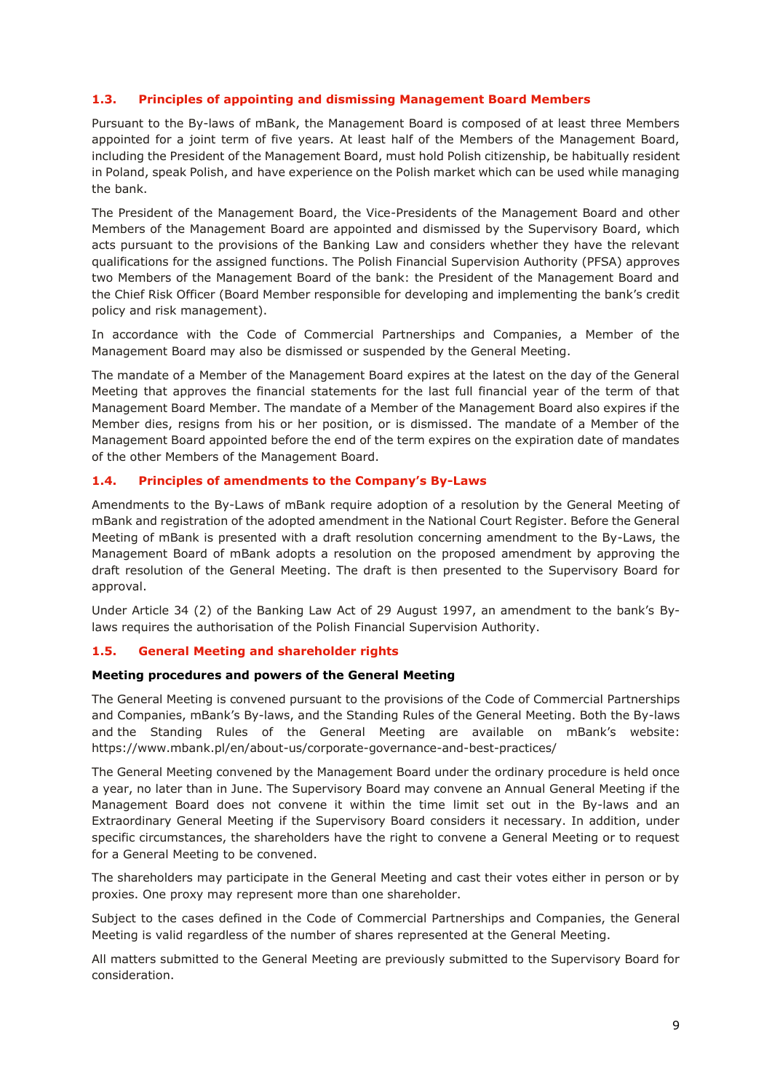# **1.3. Principles of appointing and dismissing Management Board Members**

Pursuant to the By-laws of mBank, the Management Board is composed of at least three Members appointed for a joint term of five years. At least half of the Members of the Management Board, including the President of the Management Board, must hold Polish citizenship, be habitually resident in Poland, speak Polish, and have experience on the Polish market which can be used while managing the bank.

The President of the Management Board, the Vice-Presidents of the Management Board and other Members of the Management Board are appointed and dismissed by the Supervisory Board, which acts pursuant to the provisions of the Banking Law and considers whether they have the relevant qualifications for the assigned functions. The Polish Financial Supervision Authority (PFSA) approves two Members of the Management Board of the bank: the President of the Management Board and the Chief Risk Officer (Board Member responsible for developing and implementing the bank's credit policy and risk management).

In accordance with the Code of Commercial Partnerships and Companies, a Member of the Management Board may also be dismissed or suspended by the General Meeting.

The mandate of a Member of the Management Board expires at the latest on the day of the General Meeting that approves the financial statements for the last full financial year of the term of that Management Board Member. The mandate of a Member of the Management Board also expires if the Member dies, resigns from his or her position, or is dismissed. The mandate of a Member of the Management Board appointed before the end of the term expires on the expiration date of mandates of the other Members of the Management Board.

## <span id="page-8-0"></span>**1.4. Principles of amendments to the Company's By-Laws**

Amendments to the By-Laws of mBank require adoption of a resolution by the General Meeting of mBank and registration of the adopted amendment in the National Court Register. Before the General Meeting of mBank is presented with a draft resolution concerning amendment to the By-Laws, the Management Board of mBank adopts a resolution on the proposed amendment by approving the draft resolution of the General Meeting. The draft is then presented to the Supervisory Board for approval.

Under Article 34 (2) of the Banking Law Act of 29 August 1997, an amendment to the bank's Bylaws requires the authorisation of the Polish Financial Supervision Authority.

#### <span id="page-8-1"></span>**1.5. General Meeting and shareholder rights**

#### **Meeting procedures and powers of the General Meeting**

The General Meeting is convened pursuant to the provisions of the Code of Commercial Partnerships and Companies, mBank's By-laws, and the Standing Rules of the General Meeting. Both the By-laws and the Standing Rules of the General Meeting are available on mBank's website: https://www.mbank.pl/en/about-us/corporate-governance-and-best-practices/

The General Meeting convened by the Management Board under the ordinary procedure is held once a year, no later than in June. The Supervisory Board may convene an Annual General Meeting if the Management Board does not convene it within the time limit set out in the By-laws and an Extraordinary General Meeting if the Supervisory Board considers it necessary. In addition, under specific circumstances, the shareholders have the right to convene a General Meeting or to request for a General Meeting to be convened.

The shareholders may participate in the General Meeting and cast their votes either in person or by proxies. One proxy may represent more than one shareholder.

Subject to the cases defined in the Code of Commercial Partnerships and Companies, the General Meeting is valid regardless of the number of shares represented at the General Meeting.

All matters submitted to the General Meeting are previously submitted to the Supervisory Board for consideration.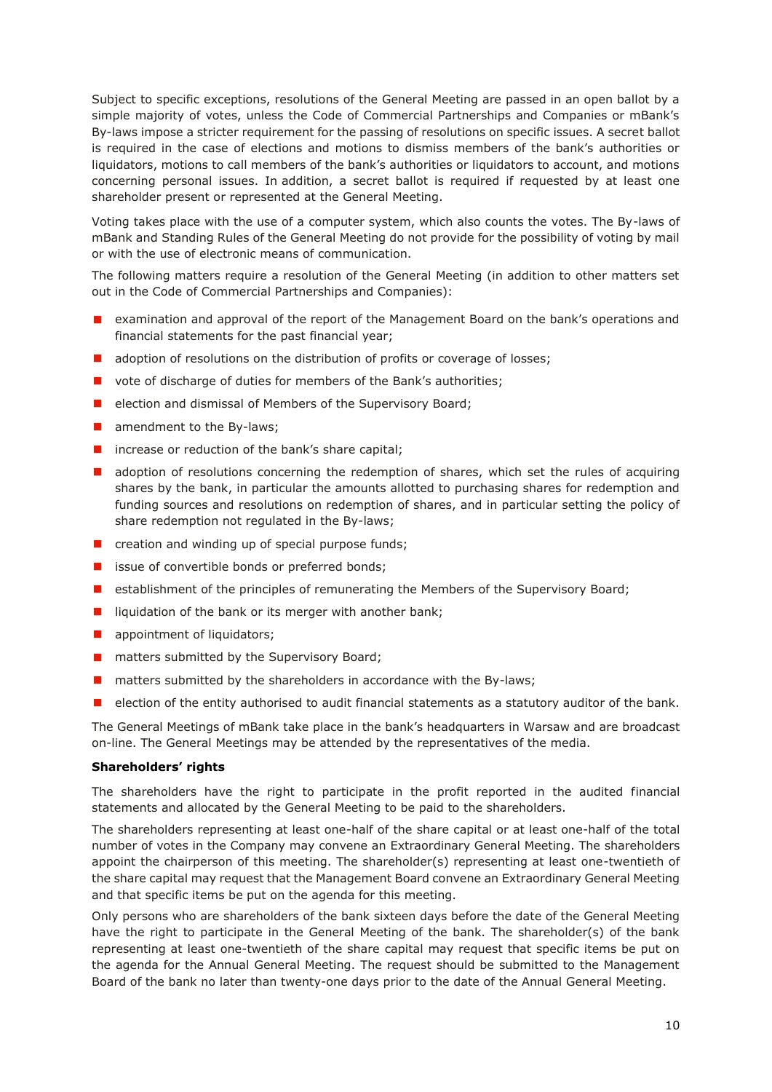Subject to specific exceptions, resolutions of the General Meeting are passed in an open ballot by a simple majority of votes, unless the Code of Commercial Partnerships and Companies or mBank's By-laws impose a stricter requirement for the passing of resolutions on specific issues. A secret ballot is required in the case of elections and motions to dismiss members of the bank's authorities or liquidators, motions to call members of the bank's authorities or liquidators to account, and motions concerning personal issues. In addition, a secret ballot is required if requested by at least one shareholder present or represented at the General Meeting.

Voting takes place with the use of a computer system, which also counts the votes. The By-laws of mBank and Standing Rules of the General Meeting do not provide for the possibility of voting by mail or with the use of electronic means of communication.

The following matters require a resolution of the General Meeting (in addition to other matters set out in the Code of Commercial Partnerships and Companies):

- examination and approval of the report of the Management Board on the bank's operations and financial statements for the past financial year;
- **a** adoption of resolutions on the distribution of profits or coverage of losses;
- **D** vote of discharge of duties for members of the Bank's authorities;
- $\blacksquare$  election and dismissal of Members of the Supervisory Board;
- $\blacksquare$  amendment to the By-laws;
- $\blacksquare$  increase or reduction of the bank's share capital;
- **a** adoption of resolutions concerning the redemption of shares, which set the rules of acquiring shares by the bank, in particular the amounts allotted to purchasing shares for redemption and funding sources and resolutions on redemption of shares, and in particular setting the policy of share redemption not regulated in the By-laws;
- $\blacksquare$  creation and winding up of special purpose funds;
- issue of convertible bonds or preferred bonds;
- **E** establishment of the principles of remunerating the Members of the Supervisory Board;
- $\blacksquare$  liquidation of the bank or its merger with another bank;
- **a** appointment of liquidators;
- **n** matters submitted by the Supervisory Board;
- $\blacksquare$  matters submitted by the shareholders in accordance with the By-laws;
- $\blacksquare$  election of the entity authorised to audit financial statements as a statutory auditor of the bank.

The General Meetings of mBank take place in the bank's headquarters in Warsaw and are broadcast on-line. The General Meetings may be attended by the representatives of the media.

#### **Shareholders' rights**

The shareholders have the right to participate in the profit reported in the audited financial statements and allocated by the General Meeting to be paid to the shareholders.

The shareholders representing at least one-half of the share capital or at least one-half of the total number of votes in the Company may convene an Extraordinary General Meeting. The shareholders appoint the chairperson of this meeting. The shareholder(s) representing at least one-twentieth of the share capital may request that the Management Board convene an Extraordinary General Meeting and that specific items be put on the agenda for this meeting.

Only persons who are shareholders of the bank sixteen days before the date of the General Meeting have the right to participate in the General Meeting of the bank. The shareholder(s) of the bank representing at least one-twentieth of the share capital may request that specific items be put on the agenda for the Annual General Meeting. The request should be submitted to the Management Board of the bank no later than twenty-one days prior to the date of the Annual General Meeting.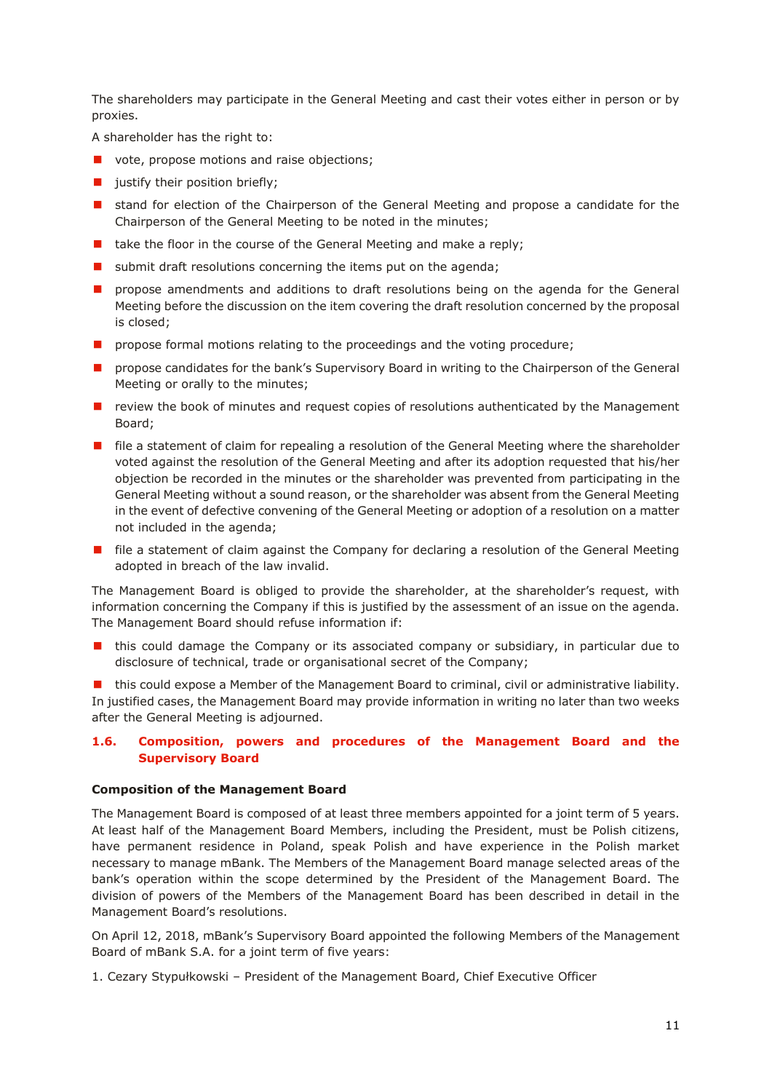The shareholders may participate in the General Meeting and cast their votes either in person or by proxies.

A shareholder has the right to:

- **vote, propose motions and raise objections;**
- $\blacksquare$  justify their position briefly;
- **I** stand for election of the Chairperson of the General Meeting and propose a candidate for the Chairperson of the General Meeting to be noted in the minutes;
- $\blacksquare$  take the floor in the course of the General Meeting and make a reply;
- submit draft resolutions concerning the items put on the agenda;
- **n** propose amendments and additions to draft resolutions being on the agenda for the General Meeting before the discussion on the item covering the draft resolution concerned by the proposal is closed;
- **n** propose formal motions relating to the proceedings and the voting procedure;
- **PED Propose candidates for the bank's Supervisory Board in writing to the Chairperson of the General** Meeting or orally to the minutes;
- $\blacksquare$  review the book of minutes and request copies of resolutions authenticated by the Management Board;
- **F** file a statement of claim for repealing a resolution of the General Meeting where the shareholder voted against the resolution of the General Meeting and after its adoption requested that his/her objection be recorded in the minutes or the shareholder was prevented from participating in the General Meeting without a sound reason, or the shareholder was absent from the General Meeting in the event of defective convening of the General Meeting or adoption of a resolution on a matter not included in the agenda;
- file a statement of claim against the Company for declaring a resolution of the General Meeting adopted in breach of the law invalid.

The Management Board is obliged to provide the shareholder, at the shareholder's request, with information concerning the Company if this is justified by the assessment of an issue on the agenda. The Management Board should refuse information if:

 this could damage the Company or its associated company or subsidiary, in particular due to disclosure of technical, trade or organisational secret of the Company;

 this could expose a Member of the Management Board to criminal, civil or administrative liability. In justified cases, the Management Board may provide information in writing no later than two weeks after the General Meeting is adjourned.

# <span id="page-10-0"></span>**1.6. Composition, powers and procedures of the Management Board and the Supervisory Board**

#### **Composition of the Management Board**

The Management Board is composed of at least three members appointed for a joint term of 5 years. At least half of the Management Board Members, including the President, must be Polish citizens, have permanent residence in Poland, speak Polish and have experience in the Polish market necessary to manage mBank. The Members of the Management Board manage selected areas of the bank's operation within the scope determined by the President of the Management Board. The division of powers of the Members of the Management Board has been described in detail in the Management Board's resolutions.

On April 12, 2018, mBank's Supervisory Board appointed the following Members of the Management Board of mBank S.A. for a joint term of five years:

1. Cezary Stypułkowski – President of the Management Board, Chief Executive Officer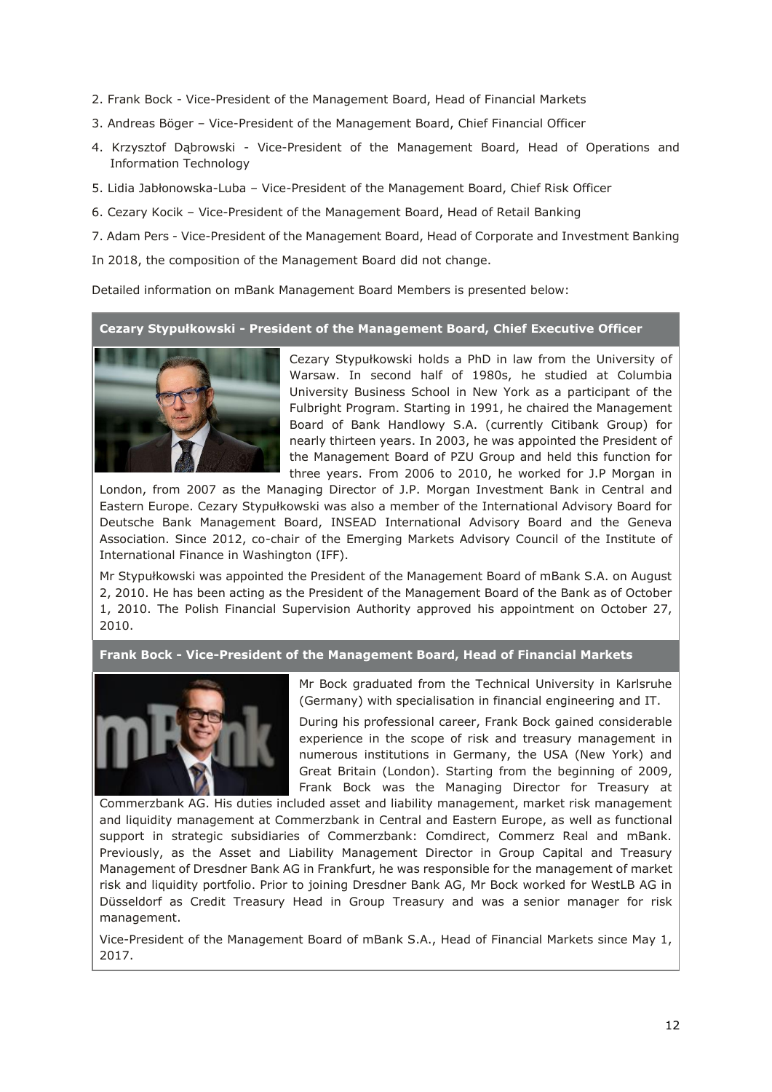- 2. Frank Bock Vice-President of the Management Board, Head of Financial Markets
- 3. Andreas Böger Vice-President of the Management Board, Chief Financial Officer
- 4. Krzysztof Dąbrowski Vice-President of the Management Board, Head of Operations and Information Technology
- 5. Lidia Jabłonowska-Luba Vice-President of the Management Board, Chief Risk Officer
- 6. Cezary Kocik Vice-President of the Management Board, Head of Retail Banking
- 7. Adam Pers Vice-President of the Management Board, Head of Corporate and Investment Banking
- In 2018, the composition of the Management Board did not change.

Detailed information on mBank Management Board Members is presented below:

# **Cezary Stypułkowski - President of the Management Board, Chief Executive Officer**



Cezary Stypułkowski holds a PhD in law from the University of Warsaw. In second half of 1980s, he studied at Columbia University Business School in New York as a participant of the Fulbright Program. Starting in 1991, he chaired the Management Board of Bank Handlowy S.A. (currently Citibank Group) for nearly thirteen years. In 2003, he was appointed the President of the Management Board of PZU Group and held this function for three years. From 2006 to 2010, he worked for J.P Morgan in

London, from 2007 as the Managing Director of J.P. Morgan Investment Bank in Central and Eastern Europe. Cezary Stypułkowski was also a member of the International Advisory Board for Deutsche Bank Management Board, INSEAD International Advisory Board and the Geneva Association. Since 2012, co-chair of the Emerging Markets Advisory Council of the Institute of International Finance in Washington (IFF).

Mr Stypułkowski was appointed the President of the Management Board of mBank S.A. on August 2, 2010. He has been acting as the President of the Management Board of the Bank as of October 1, 2010. The Polish Financial Supervision Authority approved his appointment on October 27, 2010.

# **Frank Bock - Vice-President of the Management Board, Head of Financial Markets**



Mr Bock graduated from the Technical University in Karlsruhe (Germany) with specialisation in financial engineering and IT.

During his professional career, Frank Bock gained considerable experience in the scope of risk and treasury management in numerous institutions in Germany, the USA (New York) and Great Britain (London). Starting from the beginning of 2009, Frank Bock was the Managing Director for Treasury at

Commerzbank AG. His duties included asset and liability management, market risk management and liquidity management at Commerzbank in Central and Eastern Europe, as well as functional support in strategic subsidiaries of Commerzbank: Comdirect, Commerz Real and mBank. Previously, as the Asset and Liability Management Director in Group Capital and Treasury Management of Dresdner Bank AG in Frankfurt, he was responsible for the management of market risk and liquidity portfolio. Prior to joining Dresdner Bank AG, Mr Bock worked for WestLB AG in Düsseldorf as Credit Treasury Head in Group Treasury and was a senior manager for risk management.

Vice-President of the Management Board of mBank S.A., Head of Financial Markets since May 1, 2017.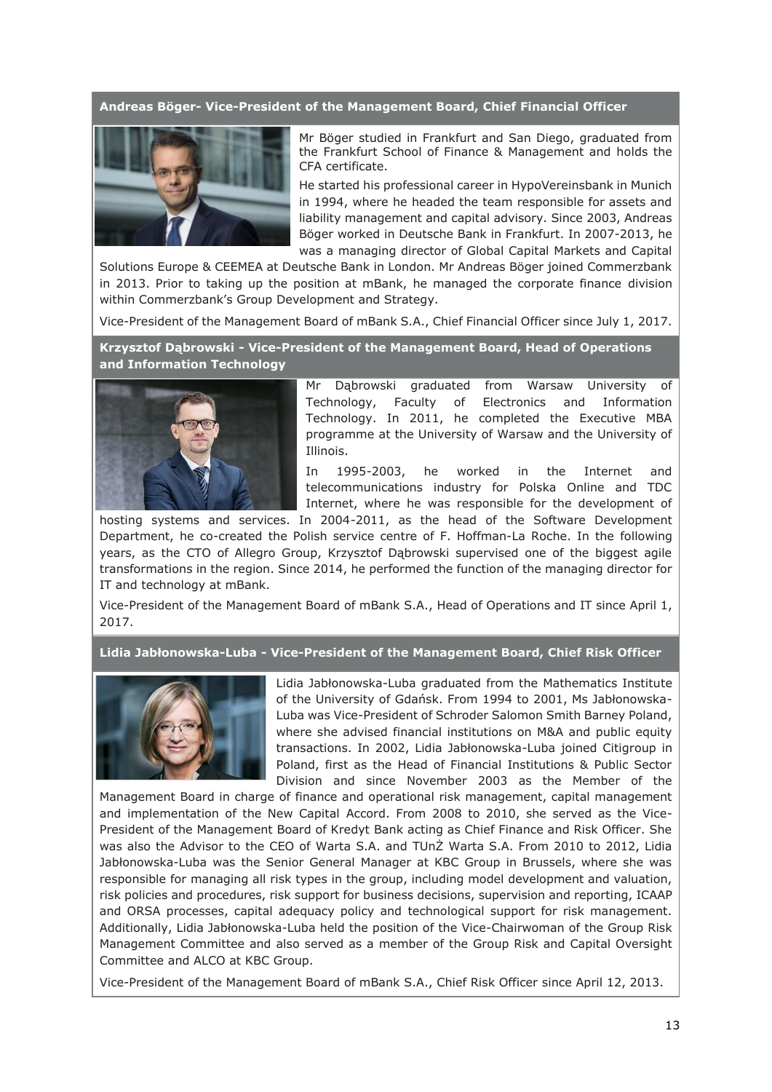# **Andreas Böger- Vice-President of the Management Board, Chief Financial Officer**



Mr Böger studied in Frankfurt and San Diego, graduated from the Frankfurt School of Finance & Management and holds the CFA certificate.

He started his professional career in HypoVereinsbank in Munich in 1994, where he headed the team responsible for assets and liability management and capital advisory. Since 2003, Andreas Böger worked in Deutsche Bank in Frankfurt. In 2007-2013, he was a managing director of Global Capital Markets and Capital

Solutions Europe & CEEMEA at Deutsche Bank in London. Mr Andreas Böger joined Commerzbank in 2013. Prior to taking up the position at mBank, he managed the corporate finance division within Commerzbank's Group Development and Strategy.

Vice-President of the Management Board of mBank S.A., Chief Financial Officer since July 1, 2017.

**Krzysztof Dąbrowski - Vice-President of the Management Board, Head of Operations and Information Technology**



Mr Dąbrowski graduated from Warsaw University of Technology, Faculty of Electronics and Information Technology. In 2011, he completed the Executive MBA programme at the University of Warsaw and the University of Illinois.

In 1995-2003, he worked in the Internet and telecommunications industry for Polska Online and TDC Internet, where he was responsible for the development of

hosting systems and services. In 2004-2011, as the head of the Software Development Department, he co-created the Polish service centre of F. Hoffman-La Roche. In the following years, as the CTO of Allegro Group, Krzysztof Dąbrowski supervised one of the biggest agile transformations in the region. Since 2014, he performed the function of the managing director for IT and technology at mBank.

Vice-President of the Management Board of mBank S.A., Head of Operations and IT since April 1, 2017.

**Lidia Jabłonowska-Luba - Vice-President of the Management Board, Chief Risk Officer**



Lidia Jabłonowska-Luba graduated from the Mathematics Institute of the University of Gdańsk. From 1994 to 2001, Ms Jabłonowska-Luba was Vice-President of Schroder Salomon Smith Barney Poland, where she advised financial institutions on M&A and public equity transactions. In 2002, Lidia Jabłonowska-Luba joined Citigroup in Poland, first as the Head of Financial Institutions & Public Sector Division and since November 2003 as the Member of the

Management Board in charge of finance and operational risk management, capital management and implementation of the New Capital Accord. From 2008 to 2010, she served as the Vice-President of the Management Board of Kredyt Bank acting as Chief Finance and Risk Officer. She was also the Advisor to the CEO of Warta S.A. and TUnŻ Warta S.A. From 2010 to 2012, Lidia Jabłonowska-Luba was the Senior General Manager at KBC Group in Brussels, where she was responsible for managing all risk types in the group, including model development and valuation, risk policies and procedures, risk support for business decisions, supervision and reporting, ICAAP and ORSA processes, capital adequacy policy and technological support for risk management. Additionally, Lidia Jabłonowska-Luba held the position of the Vice-Chairwoman of the Group Risk Management Committee and also served as a member of the Group Risk and Capital Oversight Committee and ALCO at KBC Group.

Vice-President of the Management Board of mBank S.A., Chief Risk Officer since April 12, 2013.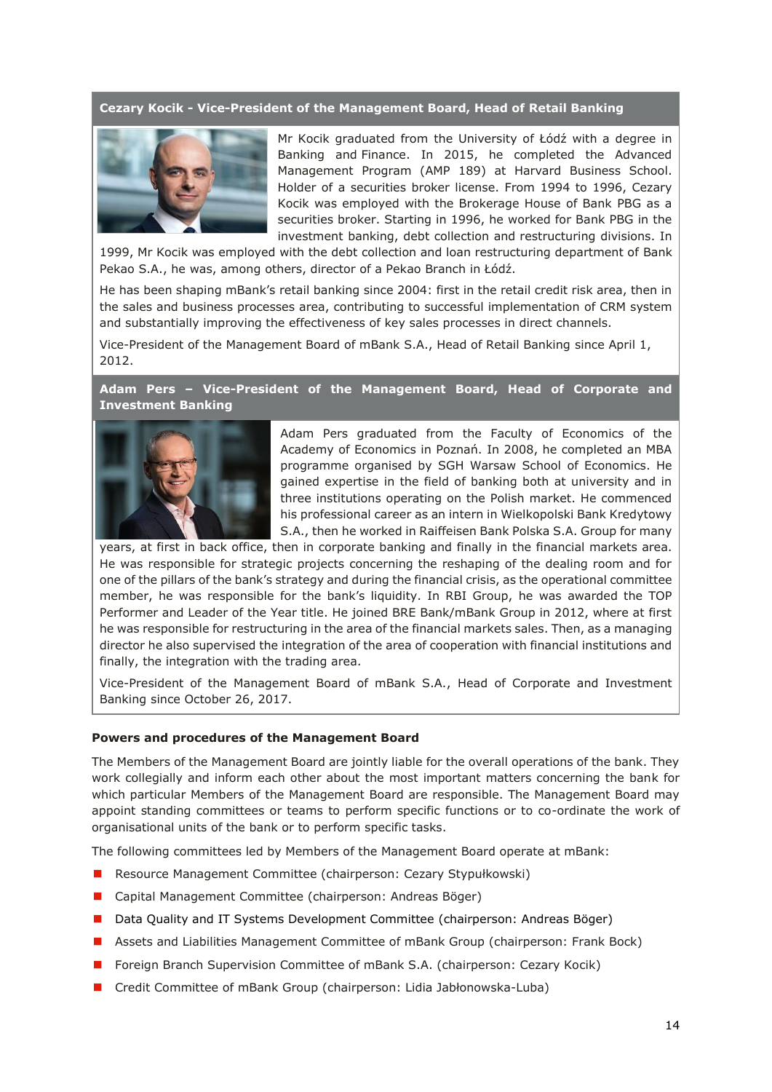#### **Cezary Kocik - Vice-President of the Management Board, Head of Retail Banking**



Mr Kocik graduated from the University of Łódź with a degree in Banking and Finance. In 2015, he completed the Advanced Management Program (AMP 189) at Harvard Business School. Holder of a securities broker license. From 1994 to 1996, Cezary Kocik was employed with the Brokerage House of Bank PBG as a securities broker. Starting in 1996, he worked for Bank PBG in the investment banking, debt collection and restructuring divisions. In

1999, Mr Kocik was employed with the debt collection and loan restructuring department of Bank Pekao S.A., he was, among others, director of a Pekao Branch in Łódź.

He has been shaping mBank's retail banking since 2004: first in the retail credit risk area, then in the sales and business processes area, contributing to successful implementation of CRM system and substantially improving the effectiveness of key sales processes in direct channels.

Vice-President of the Management Board of mBank S.A., Head of Retail Banking since April 1, 2012.

**Adam Pers – Vice-President of the Management Board, Head of Corporate and Investment Banking**



Adam Pers graduated from the Faculty of Economics of the Academy of Economics in Poznań. In 2008, he completed an MBA programme organised by SGH Warsaw School of Economics. He gained expertise in the field of banking both at university and in three institutions operating on the Polish market. He commenced his professional career as an intern in Wielkopolski Bank Kredytowy S.A., then he worked in Raiffeisen Bank Polska S.A. Group for many

years, at first in back office, then in corporate banking and finally in the financial markets area. He was responsible for strategic projects concerning the reshaping of the dealing room and for one of the pillars of the bank's strategy and during the financial crisis, as the operational committee member, he was responsible for the bank's liquidity. In RBI Group, he was awarded the TOP Performer and Leader of the Year title. He joined BRE Bank/mBank Group in 2012, where at first he was responsible for restructuring in the area of the financial markets sales. Then, as a managing director he also supervised the integration of the area of cooperation with financial institutions and finally, the integration with the trading area.

Vice-President of the Management Board of mBank S.A., Head of Corporate and Investment Banking since October 26, 2017.

#### **Powers and procedures of the Management Board**

The Members of the Management Board are jointly liable for the overall operations of the bank. They work collegially and inform each other about the most important matters concerning the bank for which particular Members of the Management Board are responsible. The Management Board may appoint standing committees or teams to perform specific functions or to co-ordinate the work of organisational units of the bank or to perform specific tasks.

The following committees led by Members of the Management Board operate at mBank:

- Resource Management Committee (chairperson: Cezary Stypułkowski)
- Capital Management Committee (chairperson: Andreas Böger)
- Data Quality and IT Systems Development Committee (chairperson: Andreas Böger)
- Assets and Liabilities Management Committee of mBank Group (chairperson: Frank Bock)
- **F** Foreign Branch Supervision Committee of mBank S.A. (chairperson: Cezary Kocik)
- Credit Committee of mBank Group (chairperson: Lidia Jabłonowska-Luba)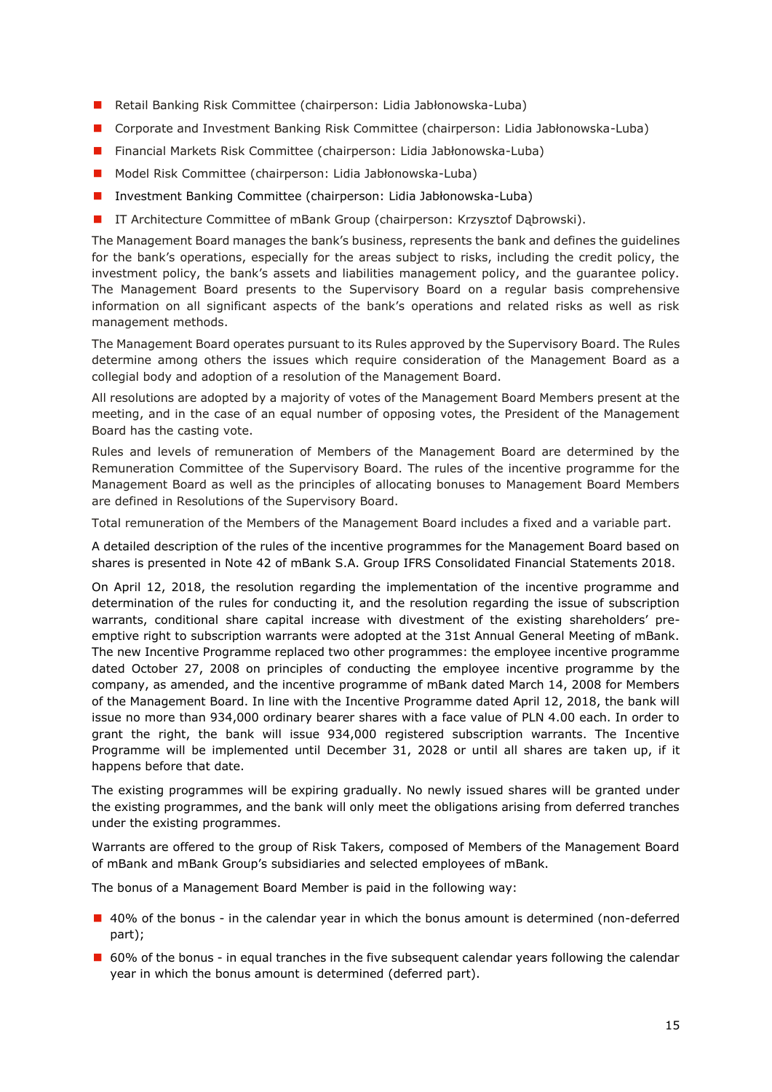- Retail Banking Risk Committee (chairperson: Lidia Jabłonowska-Luba)
- Corporate and Investment Banking Risk Committee (chairperson: Lidia Jabłonowska-Luba)
- Financial Markets Risk Committee (chairperson: Lidia Jabłonowska-Luba)
- Model Risk Committee (chairperson: Lidia Jabłonowska-Luba)
- **Investment Banking Committee (chairperson: Lidia Jabłonowska-Luba)**
- **I** IT Architecture Committee of mBank Group (chairperson: Krzysztof Dąbrowski).

The Management Board manages the bank's business, represents the bank and defines the guidelines for the bank's operations, especially for the areas subject to risks, including the credit policy, the investment policy, the bank's assets and liabilities management policy, and the guarantee policy. The Management Board presents to the Supervisory Board on a regular basis comprehensive information on all significant aspects of the bank's operations and related risks as well as risk management methods.

The Management Board operates pursuant to its Rules approved by the Supervisory Board. The Rules determine among others the issues which require consideration of the Management Board as a collegial body and adoption of a resolution of the Management Board.

All resolutions are adopted by a majority of votes of the Management Board Members present at the meeting, and in the case of an equal number of opposing votes, the President of the Management Board has the casting vote.

Rules and levels of remuneration of Members of the Management Board are determined by the Remuneration Committee of the Supervisory Board. The rules of the incentive programme for the Management Board as well as the principles of allocating bonuses to Management Board Members are defined in Resolutions of the Supervisory Board.

Total remuneration of the Members of the Management Board includes a fixed and a variable part.

A detailed description of the rules of the incentive programmes for the Management Board based on shares is presented in Note 42 of mBank S.A. Group IFRS Consolidated Financial Statements 2018.

On April 12, 2018, the resolution regarding the implementation of the incentive programme and determination of the rules for conducting it, and the resolution regarding the issue of subscription warrants, conditional share capital increase with divestment of the existing shareholders' preemptive right to subscription warrants were adopted at the 31st Annual General Meeting of mBank. The new Incentive Programme replaced two other programmes: the employee incentive programme dated October 27, 2008 on principles of conducting the employee incentive programme by the company, as amended, and the incentive programme of mBank dated March 14, 2008 for Members of the Management Board. In line with the Incentive Programme dated April 12, 2018, the bank will issue no more than 934,000 ordinary bearer shares with a face value of PLN 4.00 each. In order to grant the right, the bank will issue 934,000 registered subscription warrants. The Incentive Programme will be implemented until December 31, 2028 or until all shares are taken up, if it happens before that date.

The existing programmes will be expiring gradually. No newly issued shares will be granted under the existing programmes, and the bank will only meet the obligations arising from deferred tranches under the existing programmes.

Warrants are offered to the group of Risk Takers, composed of Members of the Management Board of mBank and mBank Group's subsidiaries and selected employees of mBank.

The bonus of a Management Board Member is paid in the following way:

- 40% of the bonus in the calendar year in which the bonus amount is determined (non-deferred part);
- 60% of the bonus in equal tranches in the five subsequent calendar years following the calendar year in which the bonus amount is determined (deferred part).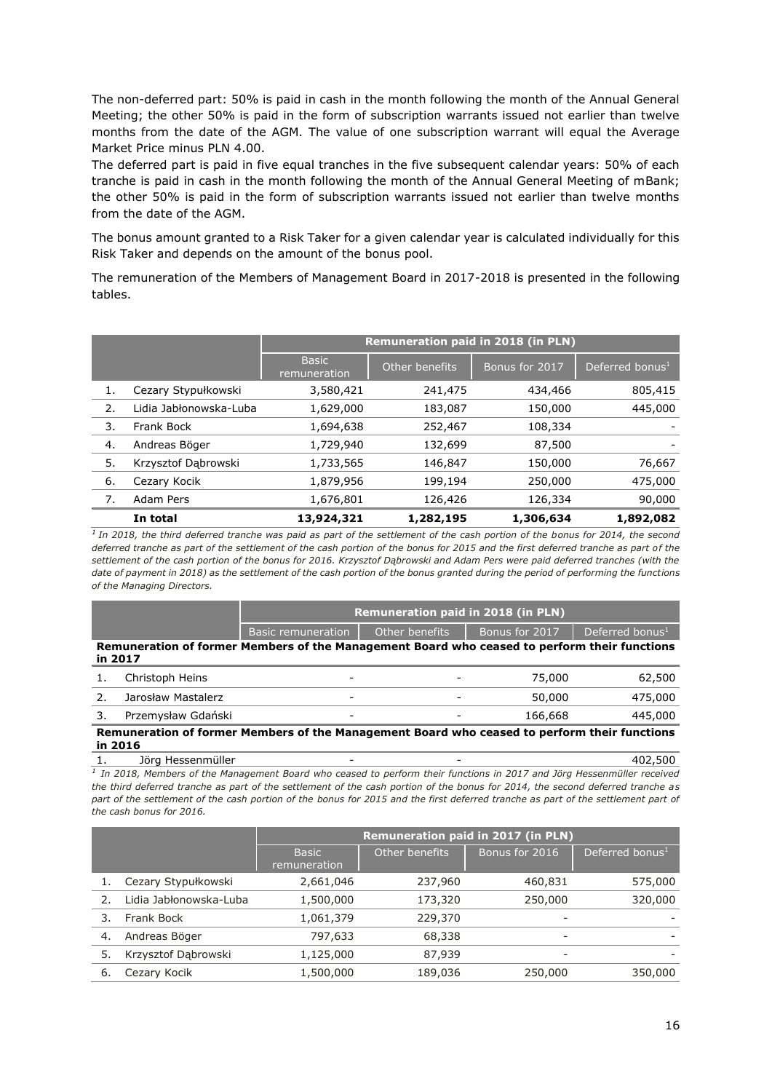The non-deferred part: 50% is paid in cash in the month following the month of the Annual General Meeting; the other 50% is paid in the form of subscription warrants issued not earlier than twelve months from the date of the AGM. The value of one subscription warrant will equal the Average Market Price minus PLN 4.00.

The deferred part is paid in five equal tranches in the five subsequent calendar years: 50% of each tranche is paid in cash in the month following the month of the Annual General Meeting of mBank; the other 50% is paid in the form of subscription warrants issued not earlier than twelve months from the date of the AGM.

The bonus amount granted to a Risk Taker for a given calendar year is calculated individually for this Risk Taker and depends on the amount of the bonus pool.

The remuneration of the Members of Management Board in 2017-2018 is presented in the following tables.

|    |                        | <b>Remuneration paid in 2018 (in PLN)</b> |                |                |                             |  |
|----|------------------------|-------------------------------------------|----------------|----------------|-----------------------------|--|
|    |                        | <b>Basic</b><br>remuneration              | Other benefits | Bonus for 2017 | Deferred bonus <sup>1</sup> |  |
| 1. | Cezary Stypułkowski    | 3,580,421                                 | 241,475        | 434,466        | 805,415                     |  |
| 2. | Lidia Jabłonowska-Luba | 1,629,000                                 | 183,087        | 150,000        | 445,000                     |  |
| 3. | Frank Bock             | 1,694,638                                 | 252,467        | 108,334        |                             |  |
| 4. | Andreas Böger          | 1,729,940                                 | 132,699        | 87,500         |                             |  |
| 5. | Krzysztof Dąbrowski    | 1,733,565                                 | 146,847        | 150,000        | 76,667                      |  |
| 6. | Cezary Kocik           | 1,879,956                                 | 199,194        | 250,000        | 475,000                     |  |
| 7. | Adam Pers              | 1,676,801                                 | 126,426        | 126,334        | 90,000                      |  |
|    | In total               | 13,924,321                                | 1,282,195      | 1,306,634      | 1,892,082                   |  |

<sup>1</sup> In 2018, the third deferred tranche was paid as part of the settlement of the cash portion of the bonus for 2014, the second *deferred tranche as part of the settlement of the cash portion of the bonus for 2015 and the first deferred tranche as part of the settlement of the cash portion of the bonus for 2016. Krzysztof Dąbrowski and Adam Pers were paid deferred tranches (with the date of payment in 2018) as the settlement of the cash portion of the bonus granted during the period of performing the functions of the Managing Directors.*

| <b>Remuneration paid in 2018 (in PLN)</b>                                                               |                    |                          |                |                             |  |  |
|---------------------------------------------------------------------------------------------------------|--------------------|--------------------------|----------------|-----------------------------|--|--|
|                                                                                                         | Basic remuneration | Other benefits           | Bonus for 2017 | Deferred bonus <sup>1</sup> |  |  |
| Remuneration of former Members of the Management Board who ceased to perform their functions<br>in 2017 |                    |                          |                |                             |  |  |
| Christoph Heins                                                                                         | -                  | $\overline{\phantom{0}}$ | 75,000         | 62,500                      |  |  |
| Jarosław Mastalerz                                                                                      | -                  | $\overline{\phantom{a}}$ | 50,000         | 475,000                     |  |  |

#### 3. Przemysław Gdański - - 166,668 445,000 **Remuneration of former Members of the Management Board who ceased to perform their functions in 2016**

1. Jörg Hessenmüller - - 402,500

<sup>1</sup> In 2018, Members of the Management Board who ceased to perform their functions in 2017 and Jörg Hessenmüller received *the third deferred tranche as part of the settlement of the cash portion of the bonus for 2014, the second deferred tranche as*  part of the settlement of the cash portion of the bonus for 2015 and the first deferred tranche as part of the settlement part of *the cash bonus for 2016.*

|    |                        | <b>Remuneration paid in 2017 (in PLN)</b> |                |                |                             |  |
|----|------------------------|-------------------------------------------|----------------|----------------|-----------------------------|--|
|    |                        | <b>Basic</b><br>remuneration              | Other benefits | Bonus for 2016 | Deferred bonus <sup>1</sup> |  |
|    | Cezary Stypułkowski    | 2,661,046                                 | 237,960        | 460,831        | 575,000                     |  |
|    | Lidia Jabłonowska-Luba | 1,500,000                                 | 173,320        | 250,000        | 320,000                     |  |
|    | Frank Bock             | 1,061,379                                 | 229,370        |                |                             |  |
| 4. | Andreas Böger          | 797,633                                   | 68,338         | ٠              |                             |  |
| 5. | Krzysztof Dąbrowski    | 1,125,000                                 | 87,939         |                |                             |  |
| 6. | Cezary Kocik           | 1,500,000                                 | 189,036        | 250,000        | 350,000                     |  |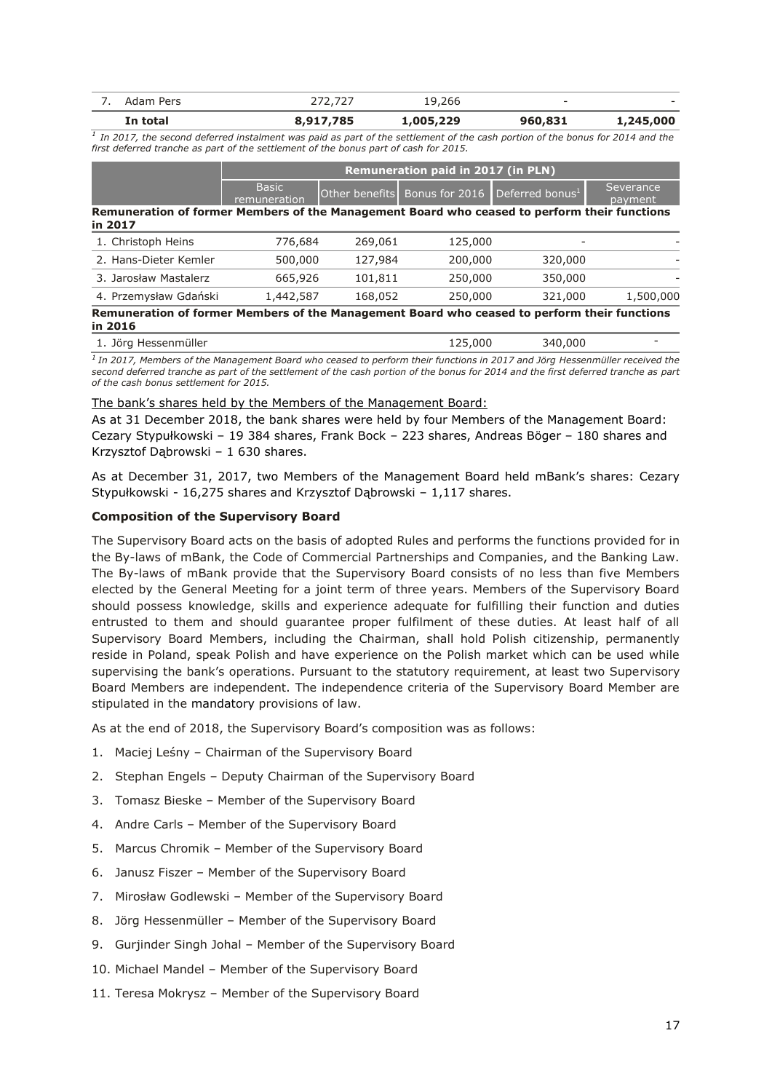|        | In total | 785<br>$-7 - - -$ | ,005,229  | 960,831 | <b>245 NOO</b><br>---- |
|--------|----------|-------------------|-----------|---------|------------------------|
| $\sim$ | Pers     |                   | 266.<br>q | -       | . .                    |

<sup>1</sup> In 2017, the second deferred instalment was paid as part of the settlement of the cash portion of the bonus for 2014 and the *first deferred tranche as part of the settlement of the bonus part of cash for 2015.*

|                                                                                                         |                              | <b>Remuneration paid in 2017 (in PLN)</b> |                |                             |                      |  |  |
|---------------------------------------------------------------------------------------------------------|------------------------------|-------------------------------------------|----------------|-----------------------------|----------------------|--|--|
|                                                                                                         | <b>Basic</b><br>remuneration | Other benefits                            | Bonus for 2016 | Deferred bonus <sup>1</sup> | Severance<br>payment |  |  |
| Remuneration of former Members of the Management Board who ceased to perform their functions<br>in 2017 |                              |                                           |                |                             |                      |  |  |
| 1. Christoph Heins                                                                                      | 776,684                      | 269,061                                   | 125,000        |                             |                      |  |  |
| 2. Hans-Dieter Kemler                                                                                   | 500,000                      | 127,984                                   | 200,000        | 320,000                     |                      |  |  |
| 3. Jarosław Mastalerz                                                                                   | 665,926                      | 101,811                                   | 250,000        | 350,000                     |                      |  |  |
| 4. Przemysław Gdański                                                                                   | 1,442,587                    | 168,052                                   | 250,000        | 321,000                     | 1,500,000            |  |  |
| Remuneration of former Members of the Management Board who ceased to perform their functions<br>in 2016 |                              |                                           |                |                             |                      |  |  |

*<sup>1</sup>In 2017, Members of the Management Board who ceased to perform their functions in 2017 and Jörg Hessenmüller received the second deferred tranche as part of the settlement of the cash portion of the bonus for 2014 and the first deferred tranche as part of the cash bonus settlement for 2015.*

#### The bank's shares held by the Members of the Management Board:

As at 31 December 2018, the bank shares were held by four Members of the Management Board: Cezary Stypułkowski – 19 384 shares, Frank Bock – 223 shares, Andreas Böger – 180 shares and Krzysztof Dąbrowski – 1 630 shares.

As at December 31, 2017, two Members of the Management Board held mBank's shares: Cezary Stypułkowski - 16,275 shares and Krzysztof Dąbrowski – 1,117 shares.

#### **Composition of the Supervisory Board**

The Supervisory Board acts on the basis of adopted Rules and performs the functions provided for in the By-laws of mBank, the Code of Commercial Partnerships and Companies, and the Banking Law. The By-laws of mBank provide that the Supervisory Board consists of no less than five Members elected by the General Meeting for a joint term of three years. Members of the Supervisory Board should possess knowledge, skills and experience adequate for fulfilling their function and duties entrusted to them and should guarantee proper fulfilment of these duties. At least half of all Supervisory Board Members, including the Chairman, shall hold Polish citizenship, permanently reside in Poland, speak Polish and have experience on the Polish market which can be used while supervising the bank's operations. Pursuant to the statutory requirement, at least two Supervisory Board Members are independent. The independence criteria of the Supervisory Board Member are stipulated in the mandatory provisions of law.

As at the end of 2018, the Supervisory Board's composition was as follows:

- 1. Maciej Leśny Chairman of the Supervisory Board
- 2. Stephan Engels Deputy Chairman of the Supervisory Board
- 3. Tomasz Bieske Member of the Supervisory Board
- 4. Andre Carls Member of the Supervisory Board
- 5. Marcus Chromik Member of the Supervisory Board
- 6. Janusz Fiszer Member of the Supervisory Board
- 7. Mirosław Godlewski Member of the Supervisory Board
- 8. Jörg Hessenmüller Member of the Supervisory Board
- 9. Gurjinder Singh Johal Member of the Supervisory Board
- 10. Michael Mandel Member of the Supervisory Board
- 11. Teresa Mokrysz Member of the Supervisory Board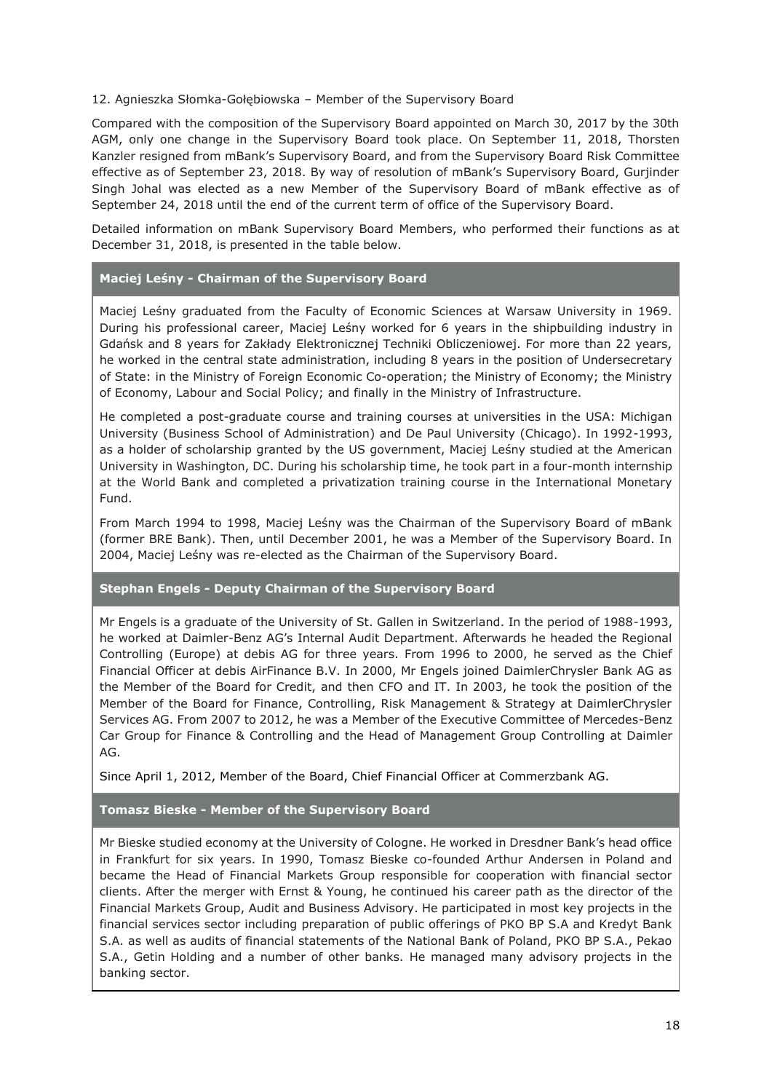## 12. Agnieszka Słomka-Gołębiowska – Member of the Supervisory Board

Compared with the composition of the Supervisory Board appointed on March 30, 2017 by the 30th AGM, only one change in the Supervisory Board took place. On September 11, 2018, Thorsten Kanzler resigned from mBank's Supervisory Board, and from the Supervisory Board Risk Committee effective as of September 23, 2018. By way of resolution of mBank's Supervisory Board, Gurjinder Singh Johal was elected as a new Member of the Supervisory Board of mBank effective as of September 24, 2018 until the end of the current term of office of the Supervisory Board.

Detailed information on mBank Supervisory Board Members, who performed their functions as at December 31, 2018, is presented in the table below.

## **Maciej Leśny - Chairman of the Supervisory Board**

Maciej Leśny graduated from the Faculty of Economic Sciences at Warsaw University in 1969. During his professional career, Maciej Leśny worked for 6 years in the shipbuilding industry in Gdańsk and 8 years for Zakłady Elektronicznej Techniki Obliczeniowej. For more than 22 years, he worked in the central state administration, including 8 years in the position of Undersecretary of State: in the Ministry of Foreign Economic Co-operation; the Ministry of Economy; the Ministry of Economy, Labour and Social Policy; and finally in the Ministry of Infrastructure.

He completed a post-graduate course and training courses at universities in the USA: Michigan University (Business School of Administration) and De Paul University (Chicago). In 1992-1993, as a holder of scholarship granted by the US government, Maciej Leśny studied at the American University in Washington, DC. During his scholarship time, he took part in a four-month internship at the World Bank and completed a privatization training course in the International Monetary Fund.

From March 1994 to 1998, Maciej Leśny was the Chairman of the Supervisory Board of mBank (former BRE Bank). Then, until December 2001, he was a Member of the Supervisory Board. In 2004, Maciej Leśny was re-elected as the Chairman of the Supervisory Board.

# **Stephan Engels - Deputy Chairman of the Supervisory Board**

Mr Engels is a graduate of the University of St. Gallen in Switzerland. In the period of 1988-1993, he worked at Daimler-Benz AG's Internal Audit Department. Afterwards he headed the Regional Controlling (Europe) at debis AG for three years. From 1996 to 2000, he served as the Chief Financial Officer at debis AirFinance B.V. In 2000, Mr Engels joined DaimlerChrysler Bank AG as the Member of the Board for Credit, and then CFO and IT. In 2003, he took the position of the Member of the Board for Finance, Controlling, Risk Management & Strategy at DaimlerChrysler Services AG. From 2007 to 2012, he was a Member of the Executive Committee of Mercedes-Benz Car Group for Finance & Controlling and the Head of Management Group Controlling at Daimler AG.

Since April 1, 2012, Member of the Board, Chief Financial Officer at Commerzbank AG.

# **Tomasz Bieske - Member of the Supervisory Board**

Mr Bieske studied economy at the University of Cologne. He worked in Dresdner Bank's head office in Frankfurt for six years. In 1990, Tomasz Bieske co-founded Arthur Andersen in Poland and became the Head of Financial Markets Group responsible for cooperation with financial sector clients. After the merger with Ernst & Young, he continued his career path as the director of the Financial Markets Group, Audit and Business Advisory. He participated in most key projects in the financial services sector including preparation of public offerings of PKO BP S.A and Kredyt Bank S.A. as well as audits of financial statements of the National Bank of Poland, PKO BP S.A., Pekao S.A., Getin Holding and a number of other banks. He managed many advisory projects in the banking sector.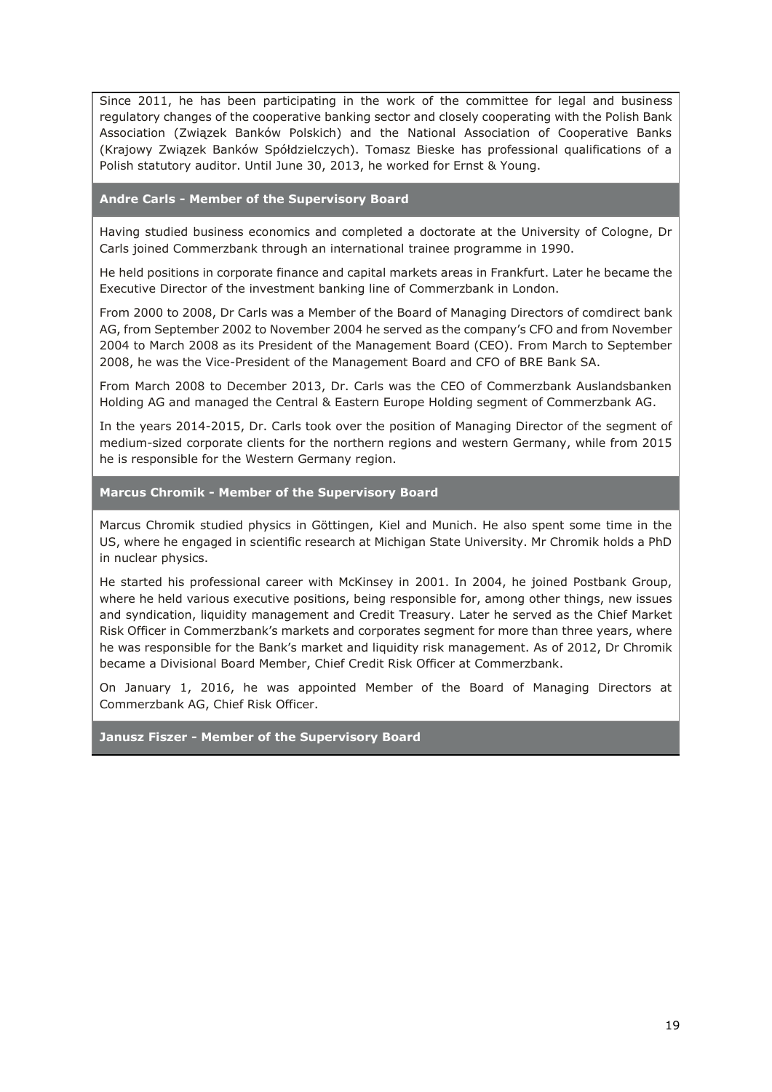Since 2011, he has been participating in the work of the committee for legal and business regulatory changes of the cooperative banking sector and closely cooperating with the Polish Bank Association (Związek Banków Polskich) and the National Association of Cooperative Banks (Krajowy Związek Banków Spółdzielczych). Tomasz Bieske has professional qualifications of a Polish statutory auditor. Until June 30, 2013, he worked for Ernst & Young.

## **Andre Carls - Member of the Supervisory Board**

Having studied business economics and completed a doctorate at the University of Cologne, Dr Carls joined Commerzbank through an international trainee programme in 1990.

He held positions in corporate finance and capital markets areas in Frankfurt. Later he became the Executive Director of the investment banking line of Commerzbank in London.

From 2000 to 2008, Dr Carls was a Member of the Board of Managing Directors of comdirect bank AG, from September 2002 to November 2004 he served as the company's CFO and from November 2004 to March 2008 as its President of the Management Board (CEO). From March to September 2008, he was the Vice-President of the Management Board and CFO of BRE Bank SA.

From March 2008 to December 2013, Dr. Carls was the CEO of Commerzbank Auslandsbanken Holding AG and managed the Central & Eastern Europe Holding segment of Commerzbank AG.

In the years 2014-2015, Dr. Carls took over the position of Managing Director of the segment of medium-sized corporate clients for the northern regions and western Germany, while from 2015 he is responsible for the Western Germany region.

# **Marcus Chromik - Member of the Supervisory Board**

Marcus Chromik studied physics in Göttingen, Kiel and Munich. He also spent some time in the US, where he engaged in scientific research at Michigan State University. Mr Chromik holds a PhD in nuclear physics.

He started his professional career with McKinsey in 2001. In 2004, he joined Postbank Group, where he held various executive positions, being responsible for, among other things, new issues and syndication, liquidity management and Credit Treasury. Later he served as the Chief Market Risk Officer in Commerzbank's markets and corporates segment for more than three years, where he was responsible for the Bank's market and liquidity risk management. As of 2012, Dr Chromik became a Divisional Board Member, Chief Credit Risk Officer at Commerzbank.

On January 1, 2016, he was appointed Member of the Board of Managing Directors at Commerzbank AG, Chief Risk Officer.

**Janusz Fiszer - Member of the Supervisory Board**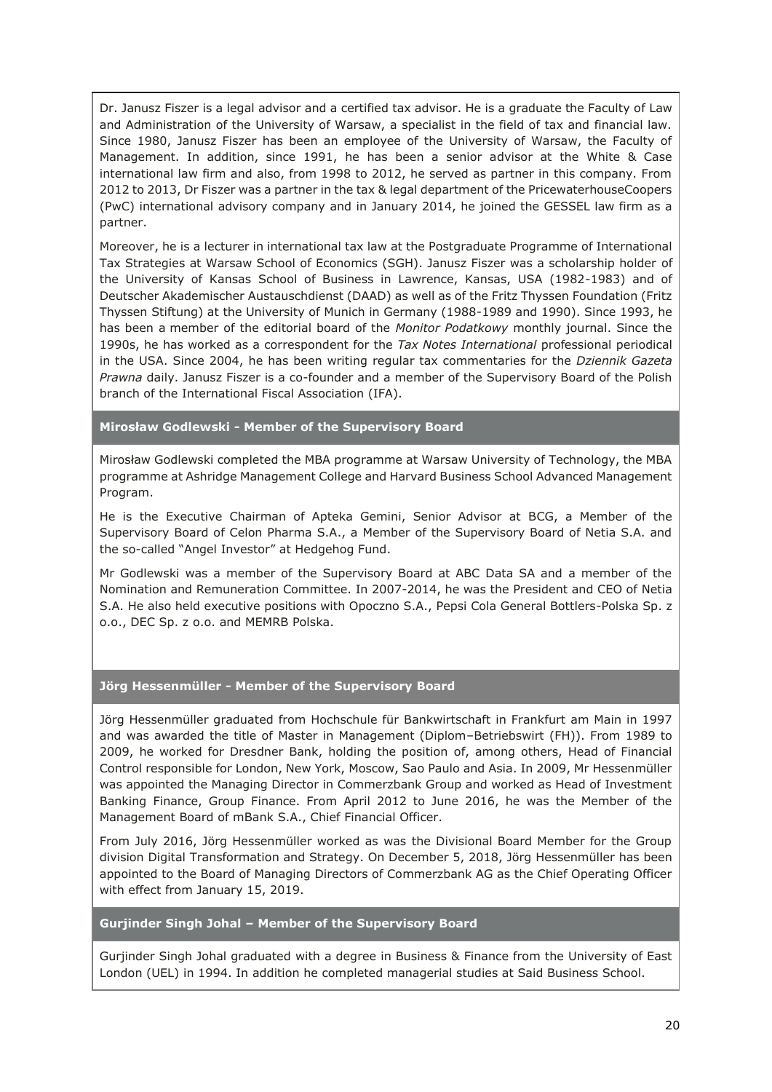Dr. Janusz Fiszer is a legal advisor and a certified tax advisor. He is a graduate the Faculty of Law and Administration of the University of Warsaw, a specialist in the field of tax and financial law. Since 1980, Janusz Fiszer has been an employee of the University of Warsaw, the Faculty of Management. In addition, since 1991, he has been a senior advisor at the White & Case international law firm and also, from 1998 to 2012, he served as partner in this company. From 2012 to 2013, Dr Fiszer was a partner in the tax & legal department of the PricewaterhouseCoopers (PwC) international advisory company and in January 2014, he joined the GESSEL law firm as a partner.

Moreover, he is a lecturer in international tax law at the Postgraduate Programme of International Tax Strategies at Warsaw School of Economics (SGH). Janusz Fiszer was a scholarship holder of the University of Kansas School of Business in Lawrence, Kansas, USA (1982-1983) and of Deutscher Akademischer Austauschdienst (DAAD) as well as of the Fritz Thyssen Foundation (Fritz Thyssen Stiftung) at the University of Munich in Germany (1988-1989 and 1990). Since 1993, he has been a member of the editorial board of the *Monitor Podatkowy* monthly journal. Since the 1990s, he has worked as a correspondent for the *Tax Notes International* professional periodical in the USA. Since 2004, he has been writing regular tax commentaries for the *Dziennik Gazeta Prawna* daily. Janusz Fiszer is a co-founder and a member of the Supervisory Board of the Polish branch of the International Fiscal Association (IFA).

**Mirosław Godlewski - Member of the Supervisory Board**

Mirosław Godlewski completed the MBA programme at Warsaw University of Technology, the MBA programme at Ashridge Management College and Harvard Business School Advanced Management Program.

He is the Executive Chairman of Apteka Gemini, Senior Advisor at BCG, a Member of the Supervisory Board of Celon Pharma S.A., a Member of the Supervisory Board of Netia S.A. and the so-called "Angel Investor" at Hedgehog Fund.

Mr Godlewski was a member of the Supervisory Board at ABC Data SA and a member of the Nomination and Remuneration Committee. In 2007-2014, he was the President and CEO of Netia S.A. He also held executive positions with Opoczno S.A., Pepsi Cola General Bottlers-Polska Sp. z o.o., DEC Sp. z o.o. and MEMRB Polska.

# **Jörg Hessenmüller - Member of the Supervisory Board**

Jörg Hessenmüller graduated from Hochschule für Bankwirtschaft in Frankfurt am Main in 1997 and was awarded the title of Master in Management (Diplom–Betriebswirt (FH)). From 1989 to 2009, he worked for Dresdner Bank, holding the position of, among others, Head of Financial Control responsible for London, New York, Moscow, Sao Paulo and Asia. In 2009, Mr Hessenmüller was appointed the Managing Director in Commerzbank Group and worked as Head of Investment Banking Finance, Group Finance. From April 2012 to June 2016, he was the Member of the Management Board of mBank S.A., Chief Financial Officer.

From July 2016, Jörg Hessenmüller worked as was the Divisional Board Member for the Group division Digital Transformation and Strategy. On December 5, 2018, Jörg Hessenmüller has been appointed to the Board of Managing Directors of Commerzbank AG as the Chief Operating Officer with effect from January 15, 2019.

# **Gurjinder Singh Johal – Member of the Supervisory Board**

Gurjinder Singh Johal graduated with a degree in Business & Finance from the University of East London (UEL) in 1994. In addition he completed managerial studies at Said Business School.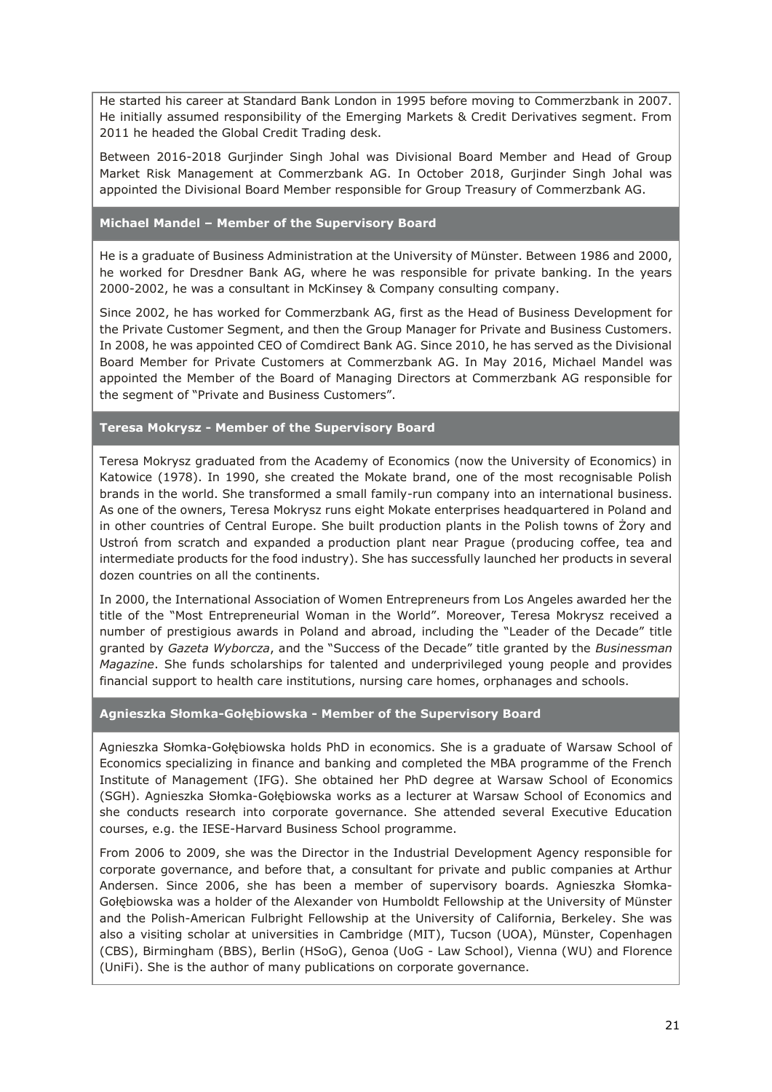He started his career at Standard Bank London in 1995 before moving to Commerzbank in 2007. He initially assumed responsibility of the Emerging Markets & Credit Derivatives segment. From 2011 he headed the Global Credit Trading desk.

Between 2016-2018 Gurjinder Singh Johal was Divisional Board Member and Head of Group Market Risk Management at Commerzbank AG. In October 2018, Gurjinder Singh Johal was appointed the Divisional Board Member responsible for Group Treasury of Commerzbank AG.

# **Michael Mandel – Member of the Supervisory Board**

He is a graduate of Business Administration at the University of Münster. Between 1986 and 2000, he worked for Dresdner Bank AG, where he was responsible for private banking. In the years 2000-2002, he was a consultant in McKinsey & Company consulting company.

Since 2002, he has worked for Commerzbank AG, first as the Head of Business Development for the Private Customer Segment, and then the Group Manager for Private and Business Customers. In 2008, he was appointed CEO of Comdirect Bank AG. Since 2010, he has served as the Divisional Board Member for Private Customers at Commerzbank AG. In May 2016, Michael Mandel was appointed the Member of the Board of Managing Directors at Commerzbank AG responsible for the segment of "Private and Business Customers".

# **Teresa Mokrysz - Member of the Supervisory Board**

Teresa Mokrysz graduated from the Academy of Economics (now the University of Economics) in Katowice (1978). In 1990, she created the Mokate brand, one of the most recognisable Polish brands in the world. She transformed a small family-run company into an international business. As one of the owners, Teresa Mokrysz runs eight Mokate enterprises headquartered in Poland and in other countries of Central Europe. She built production plants in the Polish towns of Żory and Ustroń from scratch and expanded a production plant near Prague (producing coffee, tea and intermediate products for the food industry). She has successfully launched her products in several dozen countries on all the continents.

In 2000, the International Association of Women Entrepreneurs from Los Angeles awarded her the title of the "Most Entrepreneurial Woman in the World". Moreover, Teresa Mokrysz received a number of prestigious awards in Poland and abroad, including the "Leader of the Decade" title granted by *Gazeta Wyborcza*, and the "Success of the Decade" title granted by the *Businessman Magazine*. She funds scholarships for talented and underprivileged young people and provides financial support to health care institutions, nursing care homes, orphanages and schools.

# **Agnieszka Słomka-Gołębiowska - Member of the Supervisory Board**

Agnieszka Słomka-Gołębiowska holds PhD in economics. She is a graduate of Warsaw School of Economics specializing in finance and banking and completed the MBA programme of the French Institute of Management (IFG). She obtained her PhD degree at Warsaw School of Economics (SGH). Agnieszka Słomka-Gołębiowska works as a lecturer at Warsaw School of Economics and she conducts research into corporate governance. She attended several Executive Education courses, e.g. the IESE-Harvard Business School programme.

From 2006 to 2009, she was the Director in the Industrial Development Agency responsible for corporate governance, and before that, a consultant for private and public companies at Arthur Andersen. Since 2006, she has been a member of supervisory boards. Agnieszka Słomka-Gołębiowska was a holder of the Alexander von Humboldt Fellowship at the University of Münster and the Polish-American Fulbright Fellowship at the University of California, Berkeley. She was also a visiting scholar at universities in Cambridge (MIT), Tucson (UOA), Münster, Copenhagen (CBS), Birmingham (BBS), Berlin (HSoG), Genoa (UoG - Law School), Vienna (WU) and Florence (UniFi). She is the author of many publications on corporate governance.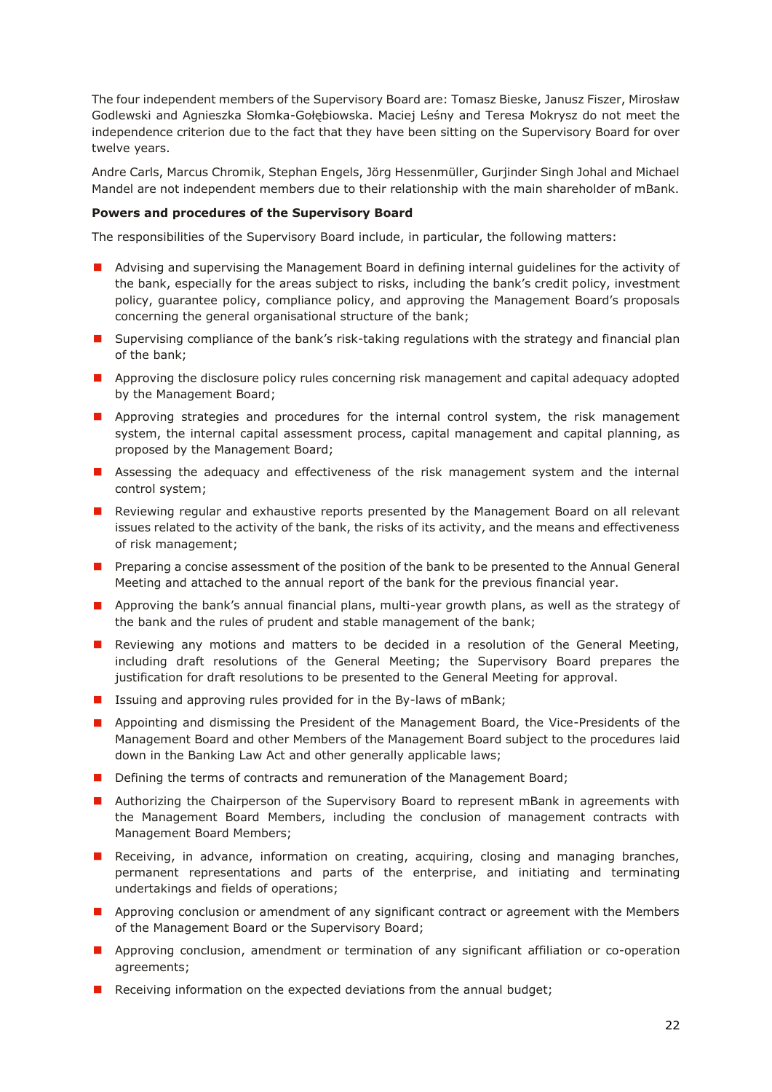The four independent members of the Supervisory Board are: Tomasz Bieske, Janusz Fiszer, Mirosław Godlewski and Agnieszka Słomka-Gołębiowska. Maciej Leśny and Teresa Mokrysz do not meet the independence criterion due to the fact that they have been sitting on the Supervisory Board for over twelve years.

Andre Carls, Marcus Chromik, Stephan Engels, Jörg Hessenmüller, Gurjinder Singh Johal and Michael Mandel are not independent members due to their relationship with the main shareholder of mBank.

# **Powers and procedures of the Supervisory Board**

The responsibilities of the Supervisory Board include, in particular, the following matters:

- **A** Advising and supervising the Management Board in defining internal guidelines for the activity of the bank, especially for the areas subject to risks, including the bank's credit policy, investment policy, guarantee policy, compliance policy, and approving the Management Board's proposals concerning the general organisational structure of the bank;
- **I** Supervising compliance of the bank's risk-taking regulations with the strategy and financial plan of the bank;
- **Approving the disclosure policy rules concerning risk management and capital adequacy adopted** by the Management Board;
- **Approving strategies and procedures for the internal control system, the risk management** system, the internal capital assessment process, capital management and capital planning, as proposed by the Management Board;
- **Assessing the adequacy and effectiveness of the risk management system and the internal** control system;
- **Reviewing regular and exhaustive reports presented by the Management Board on all relevant** issues related to the activity of the bank, the risks of its activity, and the means and effectiveness of risk management;
- **Preparing a concise assessment of the position of the bank to be presented to the Annual General** Meeting and attached to the annual report of the bank for the previous financial year.
- **Approving the bank's annual financial plans, multi-year growth plans, as well as the strategy of** the bank and the rules of prudent and stable management of the bank;
- **Reviewing any motions and matters to be decided in a resolution of the General Meeting,** including draft resolutions of the General Meeting; the Supervisory Board prepares the justification for draft resolutions to be presented to the General Meeting for approval.
- Issuing and approving rules provided for in the By-laws of mBank;
- **Appointing and dismissing the President of the Management Board, the Vice-Presidents of the** Management Board and other Members of the Management Board subject to the procedures laid down in the Banking Law Act and other generally applicable laws;
- Defining the terms of contracts and remuneration of the Management Board;
- **Authorizing the Chairperson of the Supervisory Board to represent mBank in agreements with** the Management Board Members, including the conclusion of management contracts with Management Board Members;
- **Receiving, in advance, information on creating, acquiring, closing and managing branches,** permanent representations and parts of the enterprise, and initiating and terminating undertakings and fields of operations;
- **Approving conclusion or amendment of any significant contract or agreement with the Members** of the Management Board or the Supervisory Board;
- **Approving conclusion, amendment or termination of any significant affiliation or co-operation** agreements;
- Receiving information on the expected deviations from the annual budget;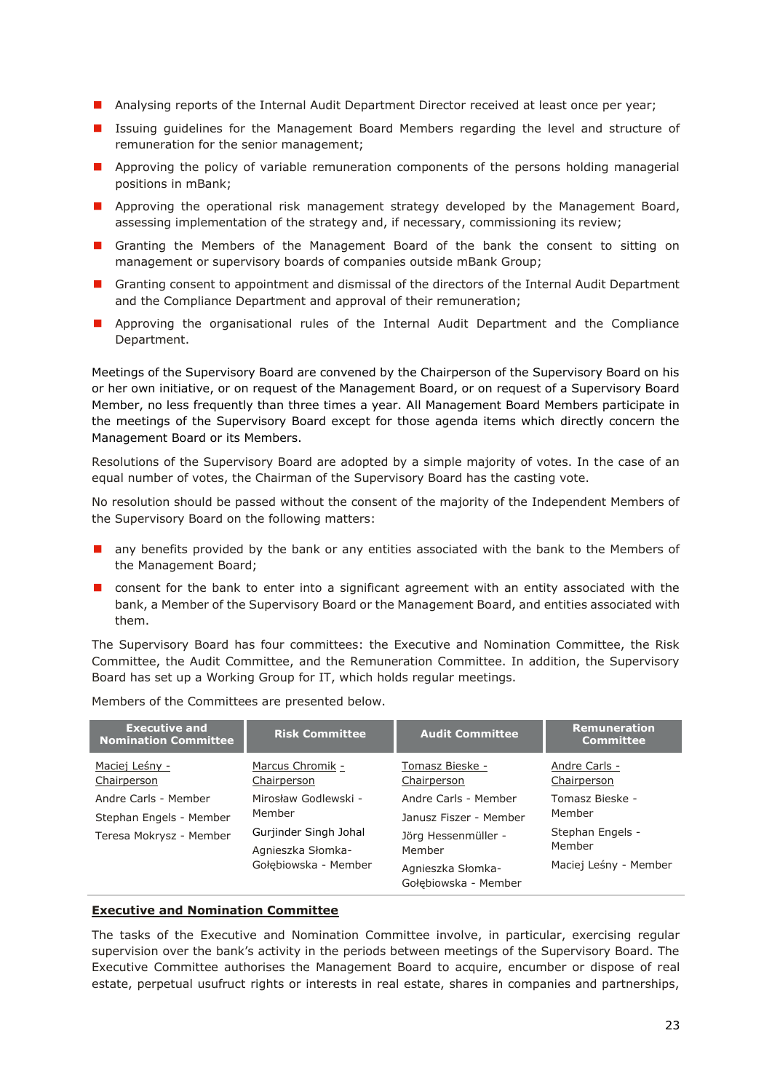- **Analysing reports of the Internal Audit Department Director received at least once per year;**
- Issuing guidelines for the Management Board Members regarding the level and structure of remuneration for the senior management;
- **Approving the policy of variable remuneration components of the persons holding managerial** positions in mBank;
- **Approving the operational risk management strategy developed by the Management Board,** assessing implementation of the strategy and, if necessary, commissioning its review;
- Granting the Members of the Management Board of the bank the consent to sitting on management or supervisory boards of companies outside mBank Group;
- **E** Granting consent to appointment and dismissal of the directors of the Internal Audit Department and the Compliance Department and approval of their remuneration;
- **Approving the organisational rules of the Internal Audit Department and the Compliance** Department.

Meetings of the Supervisory Board are convened by the Chairperson of the Supervisory Board on his or her own initiative, or on request of the Management Board, or on request of a Supervisory Board Member, no less frequently than three times a year. All Management Board Members participate in the meetings of the Supervisory Board except for those agenda items which directly concern the Management Board or its Members.

Resolutions of the Supervisory Board are adopted by a simple majority of votes. In the case of an equal number of votes, the Chairman of the Supervisory Board has the casting vote.

No resolution should be passed without the consent of the majority of the Independent Members of the Supervisory Board on the following matters:

- any benefits provided by the bank or any entities associated with the bank to the Members of the Management Board;
- **n** consent for the bank to enter into a significant agreement with an entity associated with the bank, a Member of the Supervisory Board or the Management Board, and entities associated with them.

The Supervisory Board has four committees: the Executive and Nomination Committee, the Risk Committee, the Audit Committee, and the Remuneration Committee. In addition, the Supervisory Board has set up a Working Group for IT, which holds regular meetings.

| <b>Executive and</b><br><b>Nomination Committee</b> | <b>Risk Committee</b>                      | <b>Audit Committee</b>                    | <b>Remuneration</b><br><b>Committee</b> |
|-----------------------------------------------------|--------------------------------------------|-------------------------------------------|-----------------------------------------|
| Maciej Leśny -<br>Chairperson                       | Marcus Chromik -<br>Chairperson            | Tomasz Bieske -<br>Chairperson            | Andre Carls -<br>Chairperson            |
| Andre Carls - Member                                | Mirosław Godlewski -                       | Andre Carls - Member                      | Tomasz Bieske -                         |
| Stephan Engels - Member                             | Member                                     | Janusz Fiszer - Member                    | Member                                  |
| Teresa Mokrysz - Member                             | Gurjinder Singh Johal<br>Agnieszka Słomka- | Jörg Hessenmüller -<br>Member             | Stephan Engels -<br>Member              |
|                                                     | Gołebiowska - Member                       | Agnieszka Słomka-<br>Gołebiowska - Member | Maciej Leśny - Member                   |

Members of the Committees are presented below.

## **Executive and Nomination Committee**

The tasks of the Executive and Nomination Committee involve, in particular, exercising regular supervision over the bank's activity in the periods between meetings of the Supervisory Board. The Executive Committee authorises the Management Board to acquire, encumber or dispose of real estate, perpetual usufruct rights or interests in real estate, shares in companies and partnerships,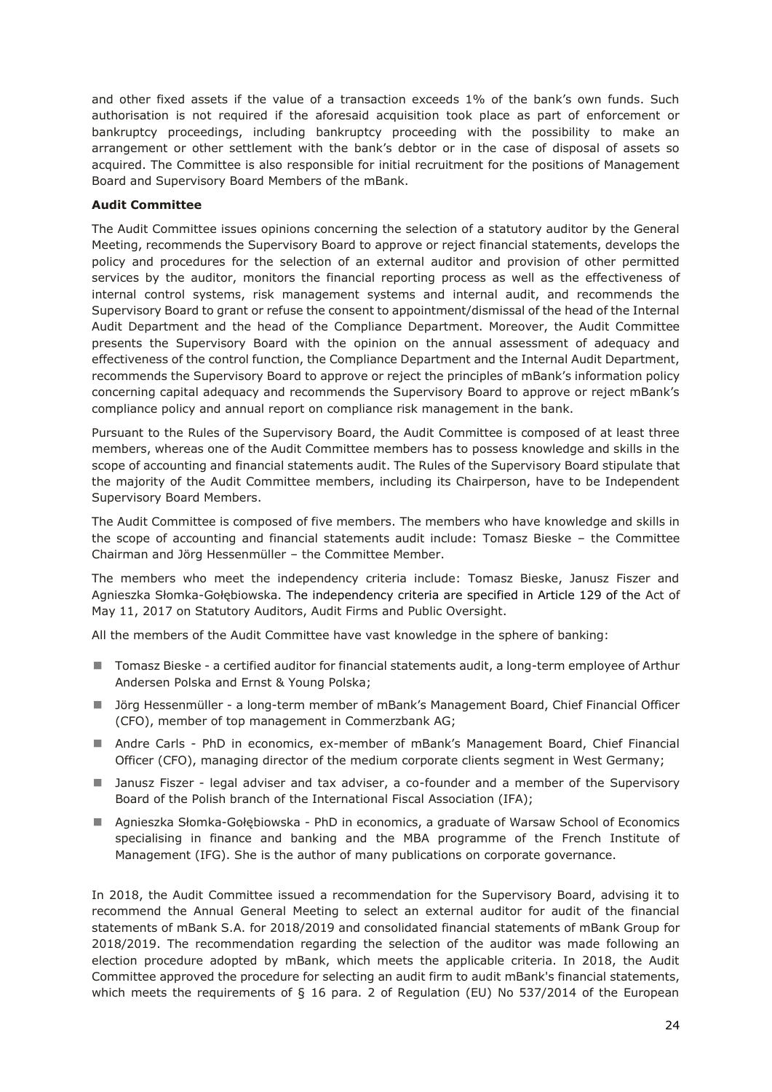and other fixed assets if the value of a transaction exceeds 1% of the bank's own funds. Such authorisation is not required if the aforesaid acquisition took place as part of enforcement or bankruptcy proceedings, including bankruptcy proceeding with the possibility to make an arrangement or other settlement with the bank's debtor or in the case of disposal of assets so acquired. The Committee is also responsible for initial recruitment for the positions of Management Board and Supervisory Board Members of the mBank.

# **Audit Committee**

The Audit Committee issues opinions concerning the selection of a statutory auditor by the General Meeting, recommends the Supervisory Board to approve or reject financial statements, develops the policy and procedures for the selection of an external auditor and provision of other permitted services by the auditor, monitors the financial reporting process as well as the effectiveness of internal control systems, risk management systems and internal audit, and recommends the Supervisory Board to grant or refuse the consent to appointment/dismissal of the head of the Internal Audit Department and the head of the Compliance Department. Moreover, the Audit Committee presents the Supervisory Board with the opinion on the annual assessment of adequacy and effectiveness of the control function, the Compliance Department and the Internal Audit Department, recommends the Supervisory Board to approve or reject the principles of mBank's information policy concerning capital adequacy and recommends the Supervisory Board to approve or reject mBank's compliance policy and annual report on compliance risk management in the bank.

Pursuant to the Rules of the Supervisory Board, the Audit Committee is composed of at least three members, whereas one of the Audit Committee members has to possess knowledge and skills in the scope of accounting and financial statements audit. The Rules of the Supervisory Board stipulate that the majority of the Audit Committee members, including its Chairperson, have to be Independent Supervisory Board Members.

The Audit Committee is composed of five members. The members who have knowledge and skills in the scope of accounting and financial statements audit include: Tomasz Bieske – the Committee Chairman and Jörg Hessenmüller – the Committee Member.

The members who meet the independency criteria include: Tomasz Bieske, Janusz Fiszer and Agnieszka Słomka-Gołębiowska. The independency criteria are specified in Article 129 of the Act of May 11, 2017 on Statutory Auditors, Audit Firms and Public Oversight.

All the members of the Audit Committee have vast knowledge in the sphere of banking:

- Tomasz Bieske a certified auditor for financial statements audit, a long-term employee of Arthur Andersen Polska and Ernst & Young Polska;
- Jörg Hessenmüller a long-term member of mBank's Management Board, Chief Financial Officer (CFO), member of top management in Commerzbank AG;
- Andre Carls PhD in economics, ex-member of mBank's Management Board, Chief Financial Officer (CFO), managing director of the medium corporate clients segment in West Germany;
- **I** Janusz Fiszer legal adviser and tax adviser, a co-founder and a member of the Supervisory Board of the Polish branch of the International Fiscal Association (IFA);
- Agnieszka Słomka-Gołębiowska PhD in economics, a graduate of Warsaw School of Economics specialising in finance and banking and the MBA programme of the French Institute of Management (IFG). She is the author of many publications on corporate governance.

In 2018, the Audit Committee issued a recommendation for the Supervisory Board, advising it to recommend the Annual General Meeting to select an external auditor for audit of the financial statements of mBank S.A. for 2018/2019 and consolidated financial statements of mBank Group for 2018/2019. The recommendation regarding the selection of the auditor was made following an election procedure adopted by mBank, which meets the applicable criteria. In 2018, the Audit Committee approved the procedure for selecting an audit firm to audit mBank's financial statements, which meets the requirements of  $\S$  16 para. 2 of Regulation (EU) No 537/2014 of the European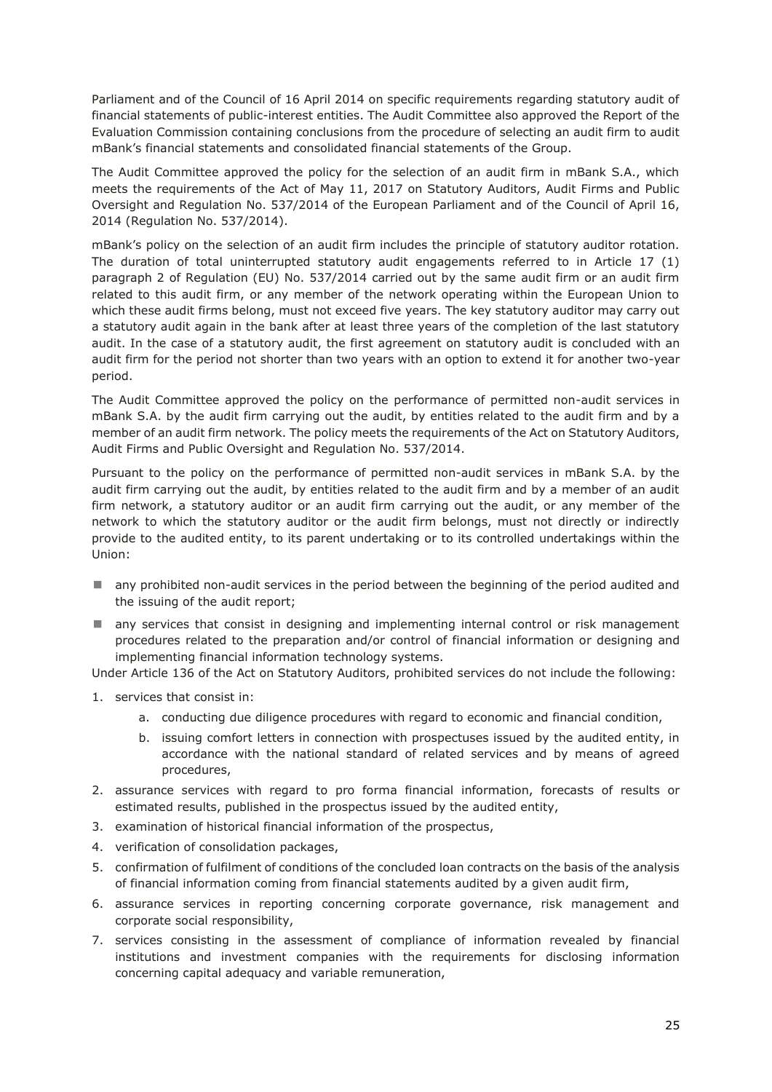Parliament and of the Council of 16 April 2014 on specific requirements regarding statutory audit of financial statements of public-interest entities. The Audit Committee also approved the Report of the Evaluation Commission containing conclusions from the procedure of selecting an audit firm to audit mBank's financial statements and consolidated financial statements of the Group.

The Audit Committee approved the policy for the selection of an audit firm in mBank S.A., which meets the requirements of the Act of May 11, 2017 on Statutory Auditors, Audit Firms and Public Oversight and Regulation No. 537/2014 of the European Parliament and of the Council of April 16, 2014 (Regulation No. 537/2014).

mBank's policy on the selection of an audit firm includes the principle of statutory auditor rotation. The duration of total uninterrupted statutory audit engagements referred to in Article 17 (1) paragraph 2 of Regulation (EU) No. 537/2014 carried out by the same audit firm or an audit firm related to this audit firm, or any member of the network operating within the European Union to which these audit firms belong, must not exceed five years. The key statutory auditor may carry out a statutory audit again in the bank after at least three years of the completion of the last statutory audit. In the case of a statutory audit, the first agreement on statutory audit is concluded with an audit firm for the period not shorter than two years with an option to extend it for another two-year period.

The Audit Committee approved the policy on the performance of permitted non-audit services in mBank S.A. by the audit firm carrying out the audit, by entities related to the audit firm and by a member of an audit firm network. The policy meets the requirements of the Act on Statutory Auditors, Audit Firms and Public Oversight and Regulation No. 537/2014.

Pursuant to the policy on the performance of permitted non-audit services in mBank S.A. by the audit firm carrying out the audit, by entities related to the audit firm and by a member of an audit firm network, a statutory auditor or an audit firm carrying out the audit, or any member of the network to which the statutory auditor or the audit firm belongs, must not directly or indirectly provide to the audited entity, to its parent undertaking or to its controlled undertakings within the Union:

- **n** any prohibited non-audit services in the period between the beginning of the period audited and the issuing of the audit report;
- **I** any services that consist in designing and implementing internal control or risk management procedures related to the preparation and/or control of financial information or designing and implementing financial information technology systems.

Under Article 136 of the Act on Statutory Auditors, prohibited services do not include the following:

- 1. services that consist in:
	- a. conducting due diligence procedures with regard to economic and financial condition,
	- b. issuing comfort letters in connection with prospectuses issued by the audited entity, in accordance with the national standard of related services and by means of agreed procedures,
- 2. assurance services with regard to pro forma financial information, forecasts of results or estimated results, published in the prospectus issued by the audited entity,
- 3. examination of historical financial information of the prospectus,
- 4. verification of consolidation packages,
- 5. confirmation of fulfilment of conditions of the concluded loan contracts on the basis of the analysis of financial information coming from financial statements audited by a given audit firm,
- 6. assurance services in reporting concerning corporate governance, risk management and corporate social responsibility,
- 7. services consisting in the assessment of compliance of information revealed by financial institutions and investment companies with the requirements for disclosing information concerning capital adequacy and variable remuneration,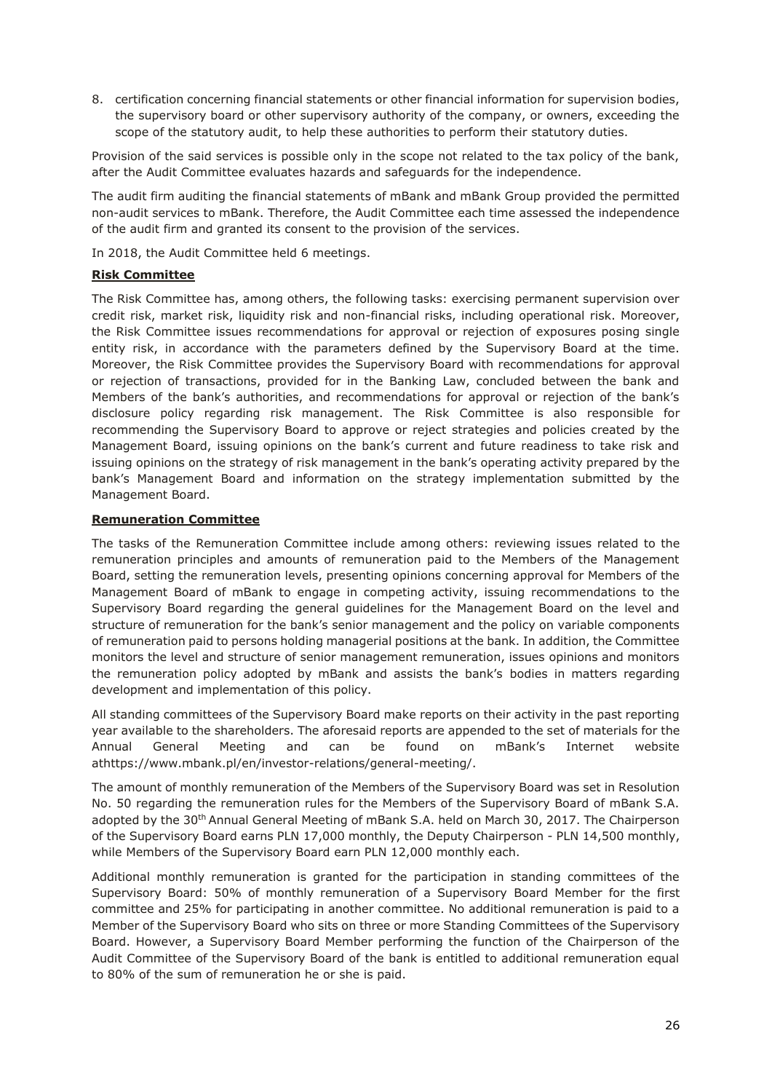8. certification concerning financial statements or other financial information for supervision bodies, the supervisory board or other supervisory authority of the company, or owners, exceeding the scope of the statutory audit, to help these authorities to perform their statutory duties.

Provision of the said services is possible only in the scope not related to the tax policy of the bank, after the Audit Committee evaluates hazards and safeguards for the independence.

The audit firm auditing the financial statements of mBank and mBank Group provided the permitted non-audit services to mBank. Therefore, the Audit Committee each time assessed the independence of the audit firm and granted its consent to the provision of the services.

In 2018, the Audit Committee held 6 meetings.

# **Risk Committee**

The Risk Committee has, among others, the following tasks: exercising permanent supervision over credit risk, market risk, liquidity risk and non-financial risks, including operational risk. Moreover, the Risk Committee issues recommendations for approval or rejection of exposures posing single entity risk, in accordance with the parameters defined by the Supervisory Board at the time. Moreover, the Risk Committee provides the Supervisory Board with recommendations for approval or rejection of transactions, provided for in the Banking Law, concluded between the bank and Members of the bank's authorities, and recommendations for approval or rejection of the bank's disclosure policy regarding risk management. The Risk Committee is also responsible for recommending the Supervisory Board to approve or reject strategies and policies created by the Management Board, issuing opinions on the bank's current and future readiness to take risk and issuing opinions on the strategy of risk management in the bank's operating activity prepared by the bank's Management Board and information on the strategy implementation submitted by the Management Board.

# **Remuneration Committee**

The tasks of the Remuneration Committee include among others: reviewing issues related to the remuneration principles and amounts of remuneration paid to the Members of the Management Board, setting the remuneration levels, presenting opinions concerning approval for Members of the Management Board of mBank to engage in competing activity, issuing recommendations to the Supervisory Board regarding the general guidelines for the Management Board on the level and structure of remuneration for the bank's senior management and the policy on variable components of remuneration paid to persons holding managerial positions at the bank. In addition, the Committee monitors the level and structure of senior management remuneration, issues opinions and monitors the remuneration policy adopted by mBank and assists the bank's bodies in matters regarding development and implementation of this policy.

All standing committees of the Supervisory Board make reports on their activity in the past reporting year available to the shareholders. The aforesaid reports are appended to the set of materials for the Annual General Meeting and can be found on mBank's Internet website athttps://www.mbank.pl/en/investor-relations/general-meeting/.

The amount of monthly remuneration of the Members of the Supervisory Board was set in Resolution No. 50 regarding the remuneration rules for the Members of the Supervisory Board of mBank S.A. adopted by the 30<sup>th</sup> Annual General Meeting of mBank S.A. held on March 30, 2017. The Chairperson of the Supervisory Board earns PLN 17,000 monthly, the Deputy Chairperson - PLN 14,500 monthly, while Members of the Supervisory Board earn PLN 12,000 monthly each.

Additional monthly remuneration is granted for the participation in standing committees of the Supervisory Board: 50% of monthly remuneration of a Supervisory Board Member for the first committee and 25% for participating in another committee. No additional remuneration is paid to a Member of the Supervisory Board who sits on three or more Standing Committees of the Supervisory Board. However, a Supervisory Board Member performing the function of the Chairperson of the Audit Committee of the Supervisory Board of the bank is entitled to additional remuneration equal to 80% of the sum of remuneration he or she is paid.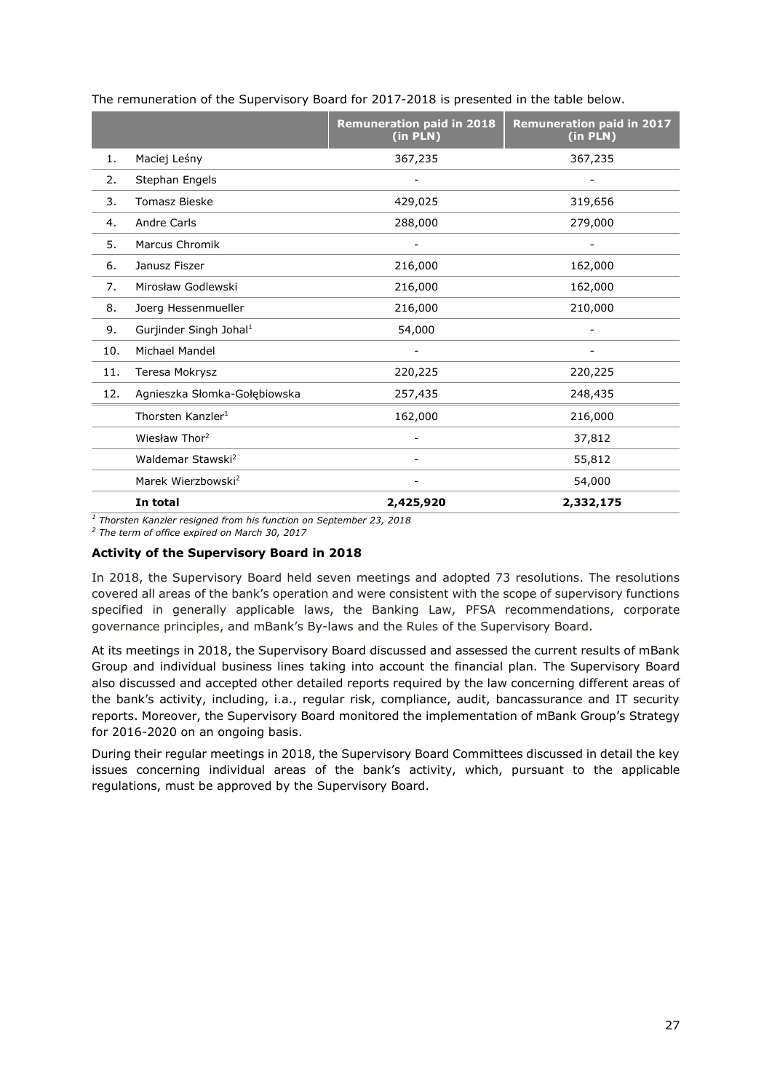|     |                                    | <b>Remuneration paid in 2018</b><br>(in PLN) | <b>Remuneration paid in 2017</b><br>(in PLN) |
|-----|------------------------------------|----------------------------------------------|----------------------------------------------|
| 1.  | Maciej Leśny                       | 367,235                                      | 367,235                                      |
| 2.  | Stephan Engels                     |                                              |                                              |
| 3.  | <b>Tomasz Bieske</b>               | 429,025                                      | 319,656                                      |
| 4.  | <b>Andre Carls</b>                 | 288,000                                      | 279,000                                      |
| 5.  | <b>Marcus Chromik</b>              |                                              |                                              |
| 6.  | Janusz Fiszer                      | 216,000                                      | 162,000                                      |
| 7.  | Mirosław Godlewski                 | 216,000                                      | 162,000                                      |
| 8.  | Joerg Hessenmueller                | 216,000                                      | 210,000                                      |
| 9.  | Gurjinder Singh Johal <sup>1</sup> | 54,000                                       |                                              |
| 10. | Michael Mandel                     |                                              |                                              |
| 11. | Teresa Mokrysz                     | 220,225                                      | 220,225                                      |
| 12. | Agnieszka Słomka-Gołębiowska       | 257,435                                      | 248,435                                      |
|     | Thorsten Kanzler <sup>1</sup>      | 162,000                                      | 216,000                                      |
|     | Wiesław Thor <sup>2</sup>          |                                              | 37,812                                       |
|     | Waldemar Stawski <sup>2</sup>      |                                              | 55,812                                       |
|     | Marek Wierzbowski <sup>2</sup>     |                                              | 54,000                                       |
|     | In total                           | 2,425,920                                    | 2,332,175                                    |

The remuneration of the Supervisory Board for 2017-2018 is presented in the table below.

*<sup>1</sup> Thorsten Kanzler resigned from his function on September 23, 2018*

*<sup>2</sup> The term of office expired on March 30, 2017*

## **Activity of the Supervisory Board in 2018**

In 2018, the Supervisory Board held seven meetings and adopted 73 resolutions. The resolutions covered all areas of the bank's operation and were consistent with the scope of supervisory functions specified in generally applicable laws, the Banking Law, PFSA recommendations, corporate governance principles, and mBank's By-laws and the Rules of the Supervisory Board.

At its meetings in 2018, the Supervisory Board discussed and assessed the current results of mBank Group and individual business lines taking into account the financial plan. The Supervisory Board also discussed and accepted other detailed reports required by the law concerning different areas of the bank's activity, including, i.a., regular risk, compliance, audit, bancassurance and IT security reports. Moreover, the Supervisory Board monitored the implementation of mBank Group's Strategy for 2016-2020 on an ongoing basis.

During their regular meetings in 2018, the Supervisory Board Committees discussed in detail the key issues concerning individual areas of the bank's activity, which, pursuant to the applicable regulations, must be approved by the Supervisory Board.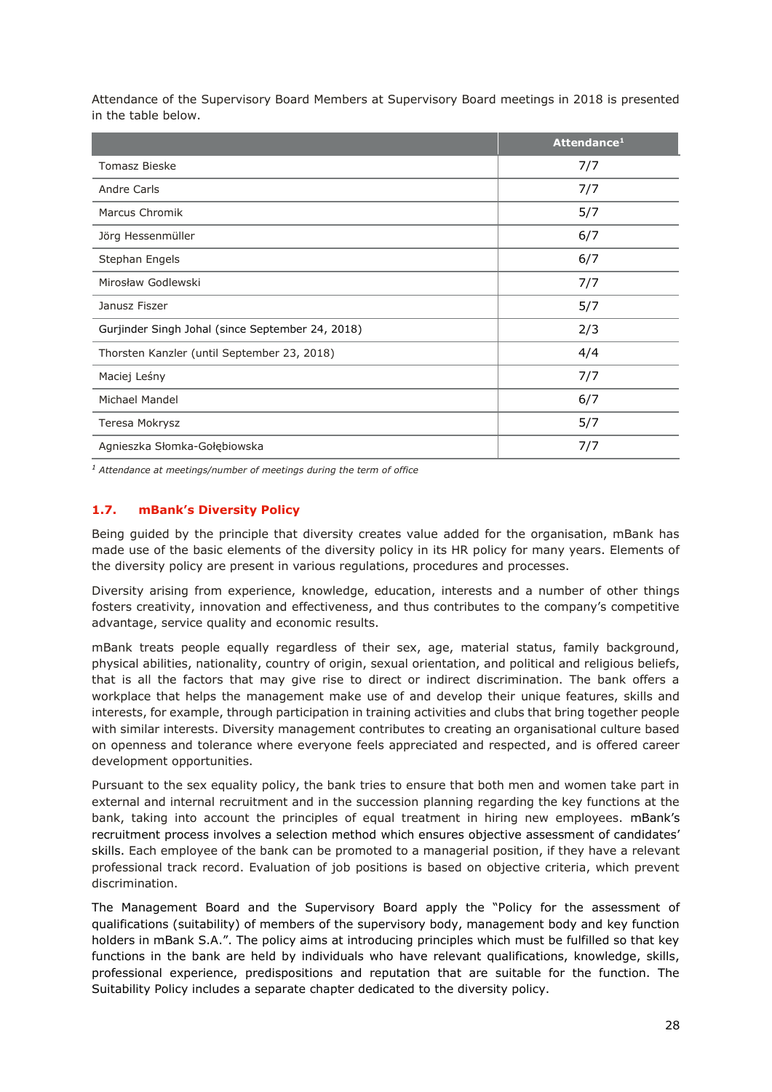Attendance of the Supervisory Board Members at Supervisory Board meetings in 2018 is presented in the table below.

|                                                  | Attendance <sup>1</sup> |
|--------------------------------------------------|-------------------------|
| <b>Tomasz Bieske</b>                             | 7/7                     |
| Andre Carls                                      | 7/7                     |
| Marcus Chromik                                   | 5/7                     |
| Jörg Hessenmüller                                | 6/7                     |
| Stephan Engels                                   | 6/7                     |
| Mirosław Godlewski                               | 7/7                     |
| Janusz Fiszer                                    | 5/7                     |
| Gurjinder Singh Johal (since September 24, 2018) | 2/3                     |
| Thorsten Kanzler (until September 23, 2018)      | 4/4                     |
| Maciej Leśny                                     | 7/7                     |
| Michael Mandel                                   | 6/7                     |
| Teresa Mokrysz                                   | 5/7                     |
| Agnieszka Słomka-Gołębiowska                     | 7/7                     |

*<sup>1</sup> Attendance at meetings/number of meetings during the term of office*

# <span id="page-27-0"></span>**1.7. mBank's Diversity Policy**

Being guided by the principle that diversity creates value added for the organisation, mBank has made use of the basic elements of the diversity policy in its HR policy for many years. Elements of the diversity policy are present in various regulations, procedures and processes.

Diversity arising from experience, knowledge, education, interests and a number of other things fosters creativity, innovation and effectiveness, and thus contributes to the company's competitive advantage, service quality and economic results.

mBank treats people equally regardless of their sex, age, material status, family background, physical abilities, nationality, country of origin, sexual orientation, and political and religious beliefs, that is all the factors that may give rise to direct or indirect discrimination. The bank offers a workplace that helps the management make use of and develop their unique features, skills and interests, for example, through participation in training activities and clubs that bring together people with similar interests. Diversity management contributes to creating an organisational culture based on openness and tolerance where everyone feels appreciated and respected, and is offered career development opportunities.

Pursuant to the sex equality policy, the bank tries to ensure that both men and women take part in external and internal recruitment and in the succession planning regarding the key functions at the bank, taking into account the principles of equal treatment in hiring new employees. mBank's recruitment process involves a selection method which ensures objective assessment of candidates' skills. Each employee of the bank can be promoted to a managerial position, if they have a relevant professional track record. Evaluation of job positions is based on objective criteria, which prevent discrimination.

The Management Board and the Supervisory Board apply the "Policy for the assessment of qualifications (suitability) of members of the supervisory body, management body and key function holders in mBank S.A.". The policy aims at introducing principles which must be fulfilled so that key functions in the bank are held by individuals who have relevant qualifications, knowledge, skills, professional experience, predispositions and reputation that are suitable for the function. The Suitability Policy includes a separate chapter dedicated to the diversity policy.